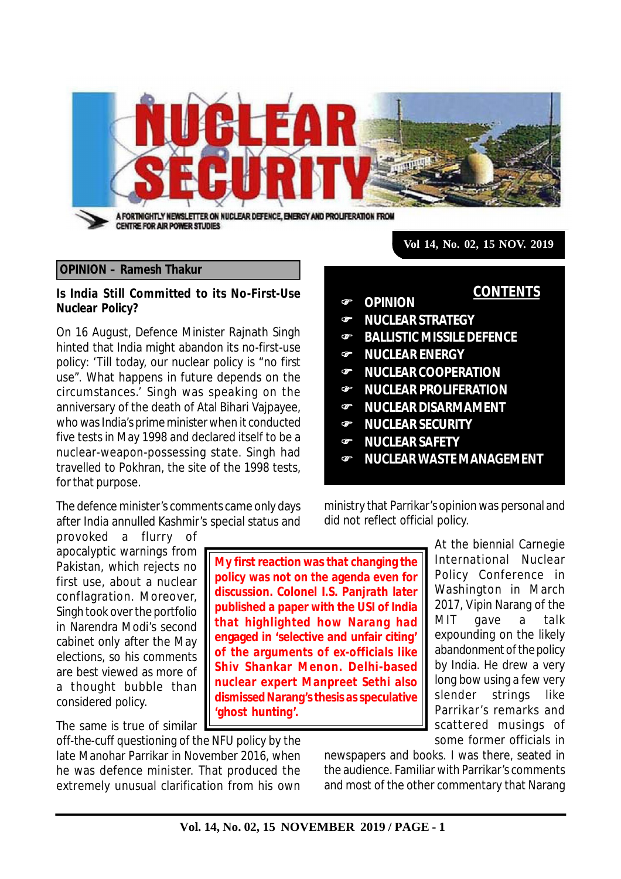

### **OPINION – Ramesh Thakur**

## **Is India Still Committed to its No-First-Use Nuclear Policy?**

On 16 August, Defence Minister Rajnath Singh hinted that India might abandon its no-first-use policy: 'Till today, our nuclear policy is "no first use". What happens in future depends on the circumstances.' Singh was speaking on the anniversary of the death of Atal Bihari Vajpayee, who was India's prime minister when it conducted five tests in May 1998 and declared itself to be a nuclear-weapon-possessing state. Singh had travelled to Pokhran, the site of the 1998 tests, for that purpose.

The defence minister's comments came only days after India annulled Kashmir's special status and

provoked a flurry of apocalyptic warnings from Pakistan, which rejects no first use, about a nuclear conflagration. Moreover, Singh took over the portfolio in Narendra Modi's second cabinet only after the May elections, so his comments are best viewed as more of a thought bubble than considered policy.

The same is true of similar

off-the-cuff questioning of the NFU policy by the late Manohar Parrikar in November 2016, when he was defence minister. That produced the extremely unusual clarification from his own

**My first reaction was that changing the policy was not on the agenda even for discussion. Colonel I.S. Panjrath later published a paper with the USI of India that highlighted how Narang had engaged in 'selective and unfair citing' of the arguments of ex-officials like Shiv Shankar Menon. Delhi-based nuclear expert Manpreet Sethi also dismissed Narang's thesis as speculative 'ghost hunting'.**

 **OPINION NUCLEAR STRATEGY**

**CONTENTS**

- **BALLISTIC MISSILE DEFENCE**
- **NUCLEAR ENERGY**
- **NUCLEAR COOPERATION**
- **NUCLEAR PROLIFERATION**
- **NUCLEAR DISARMAMENT**
- **NUCLEAR SECURITY**
- **NUCLEAR SAFETY**
- **NUCLEAR WASTE MANAGEMENT**

ministry that Parrikar's opinion was personal and did not reflect official policy.

> At the biennial Carnegie International Nuclear Policy Conference in Washington in March 2017, Vipin Narang of the MIT gave a talk expounding on the likely abandonment of the policy by India. He drew a very long bow using a few very slender strings like Parrikar's remarks and scattered musings of some former officials in

newspapers and books. I was there, seated in the audience. Familiar with Parrikar's comments and most of the other commentary that Narang

**Vol. 14, No. 02, 15 NOVEMBER 2019 / PAGE - 1**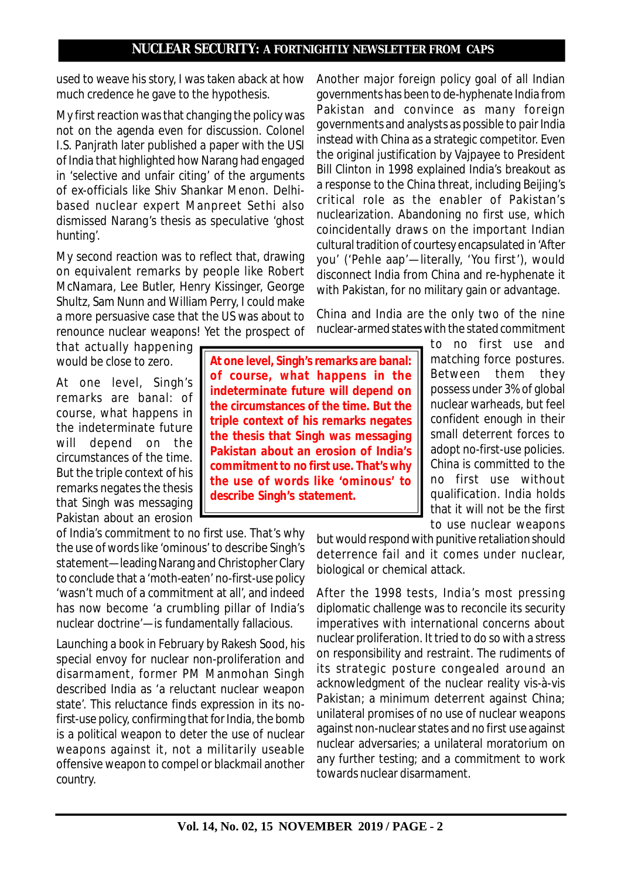After the 1998 tests, India's most pressing diplomatic challenge was to reconcile its security imperatives with international concerns about nuclear proliferation. It tried to do so with a stress on responsibility and restraint. The rudiments of its strategic posture congealed around an acknowledgment of the nuclear reality vis-à-vis Pakistan; a minimum deterrent against China; unilateral promises of no use of nuclear weapons against non-nuclear states and no first use against nuclear adversaries; a unilateral moratorium on any further testing; and a commitment to work

towards nuclear disarmament.

to use nuclear weapons but would respond with punitive retaliation should deterrence fail and it comes under nuclear, biological or chemical attack.

to no first use and matching force postures. Between them they possess under 3% of global nuclear warheads, but feel confident enough in their small deterrent forces to adopt no-first-use policies. China is committed to the no first use without qualification. India holds that it will not be the first

with Pakistan, for no military gain or advantage.

disconnect India from China and re-hyphenate it

much credence he gave to the hypothesis. My first reaction was that changing the policy was not on the agenda even for discussion. Colonel I.S. Panjrath later published a paper with the USI of India that highlighted how Narang had engaged in 'selective and unfair citing' of the arguments of ex-officials like Shiv Shankar Menon. Delhibased nuclear expert Manpreet Sethi also dismissed Narang's thesis as speculative 'ghost

My second reaction was to reflect that, drawing on equivalent remarks by people like Robert McNamara, Lee Butler, Henry Kissinger, George Shultz, Sam Nunn and William Perry, I could make a more persuasive case that the US was about to renounce nuclear weapons! Yet the prospect of

used to weave his story, I was taken aback at how

that actually happening would be close to zero.

hunting'.

At one level, Singh's remarks are banal: of course, what happens in the indeterminate future will depend on the circumstances of the time. But the triple context of his remarks negates the thesis that Singh was messaging Pakistan about an erosion

of India's commitment to no first use. That's why the use of words like 'ominous' to describe Singh's statement—leading Narang and Christopher Clary to conclude that a 'moth-eaten' no-first-use policy 'wasn't much of a commitment at all', and indeed has now become 'a crumbling pillar of India's nuclear doctrine'—is fundamentally fallacious.

Launching a book in February by Rakesh Sood, his special envoy for nuclear non-proliferation and disarmament, former PM Manmohan Singh described India as 'a reluctant nuclear weapon state'. This reluctance finds expression in its nofirst-use policy, confirming that for India, the bomb is a political weapon to deter the use of nuclear weapons against it, not a militarily useable offensive weapon to compel or blackmail another country.

**Vol. 14, No. 02, 15 NOVEMBER 2019 / PAGE - 2**

**At one level, Singh's remarks are banal: of course, what happens in the indeterminate future will depend on the circumstances of the time. But the triple context of his remarks negates the thesis that Singh was messaging Pakistan about an erosion of India's commitment to no first use. That's why the use of words like 'ominous' to**

**describe Singh's statement.**

Another major foreign policy goal of all Indian governments has been to de-hyphenate India from Pakistan and convince as many foreign governments and analysts as possible to pair India instead with China as a strategic competitor. Even the original justification by Vajpayee to President Bill Clinton in 1998 explained India's breakout as a response to the China threat, including Beijing's critical role as the enabler of Pakistan's nuclearization. Abandoning no first use, which coincidentally draws on the important Indian cultural tradition of courtesy encapsulated in 'After you' ('Pehle aap'—literally, 'You first'), would

China and India are the only two of the nine nuclear-armed states with the stated commitment

**NUCLEAR SECURITY: A FORTNIGHTLY NEWSLETTER FROM CAPS**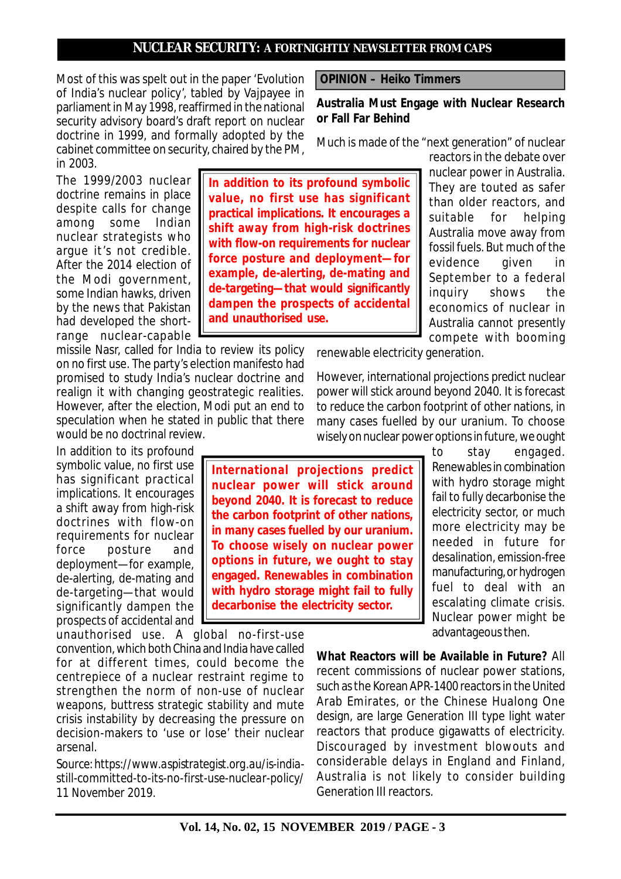Most of this was spelt out in the paper 'Evolution of India's nuclear policy', tabled by Vajpayee in parliament in May 1998, reaffirmed in the national security advisory board's draft report on nuclear doctrine in 1999, and formally adopted by the cabinet committee on security, chaired by the PM,

in 2003.

The 1999/2003 nuclear doctrine remains in place despite calls for change<br>among some Indian among some nuclear strategists who argue it's not credible. After the 2014 election of the Modi government, some Indian hawks, driven by the news that Pakistan had developed the shortrange nuclear-capable

missile Nasr, called for India to review its policy on no first use. The party's election manifesto had promised to study India's nuclear doctrine and realign it with changing geostrategic realities. However, after the election, Modi put an end to speculation when he stated in public that there would be no doctrinal review.

In addition to its profound symbolic value, no first use has significant practical implications. It encourages a shift away from high-risk doctrines with flow-on requirements for nuclear force posture and deployment—for example, de-alerting, de-mating and de-targeting—that would significantly dampen the prospects of accidental and

unauthorised use. A global no-first-use convention, which both China and India have called for at different times, could become the centrepiece of a nuclear restraint regime to strengthen the norm of non-use of nuclear weapons, buttress strategic stability and mute crisis instability by decreasing the pressure on decision-makers to 'use or lose' their nuclear arsenal.

*Source:https://www.aspistrategist.org.au/is-indiastill-committed-to-its-no-first-use-nuclear-policy/ 11 November 2019.*

**In addition to its profound symbolic value, no first use has significant practical implications. It encourages a shift away from high-risk doctrines with flow-on requirements for nuclear force posture and deployment—for example, de-alerting, de-mating and de-targeting—that would significantly dampen the prospects of accidental and unauthorised use.**

 **OPINION – Heiko Timmers**

### **Australia Must Engage with Nuclear Research or Fall Far Behind**

Much is made of the "next generation" of nuclear

reactors in the debate over nuclear power in Australia. They are touted as safer than older reactors, and suitable for helping Australia move away from fossil fuels. But much of the evidence given in September to a federal inquiry shows the economics of nuclear in Australia cannot presently compete with booming

renewable electricity generation.

However, international projections predict nuclear power will stick around beyond 2040. It is forecast to reduce the carbon footprint of other nations, in many cases fuelled by our uranium. To choose wisely on nuclear power options in future, we ought

**International projections predict nuclear power will stick around beyond 2040. It is forecast to reduce the carbon footprint of other nations, in many cases fuelled by our uranium. To choose wisely on nuclear power options in future, we ought to stay engaged. Renewables in combination with hydro storage might fail to fully decarbonise the electricity sector.**

to stay engaged. Renewables in combination with hydro storage might fail to fully decarbonise the electricity sector, or much more electricity may be needed in future for desalination, emission-free manufacturing, or hydrogen fuel to deal with an escalating climate crisis. Nuclear power might be advantageous then.

*What Reactors will be Available in Future?* All recent commissions of nuclear power stations, such as the Korean APR-1400 reactors in the United Arab Emirates, or the Chinese Hualong One design, are large Generation III type light water reactors that produce gigawatts of electricity. Discouraged by investment blowouts and considerable delays in England and Finland, Australia is not likely to consider building Generation III reactors.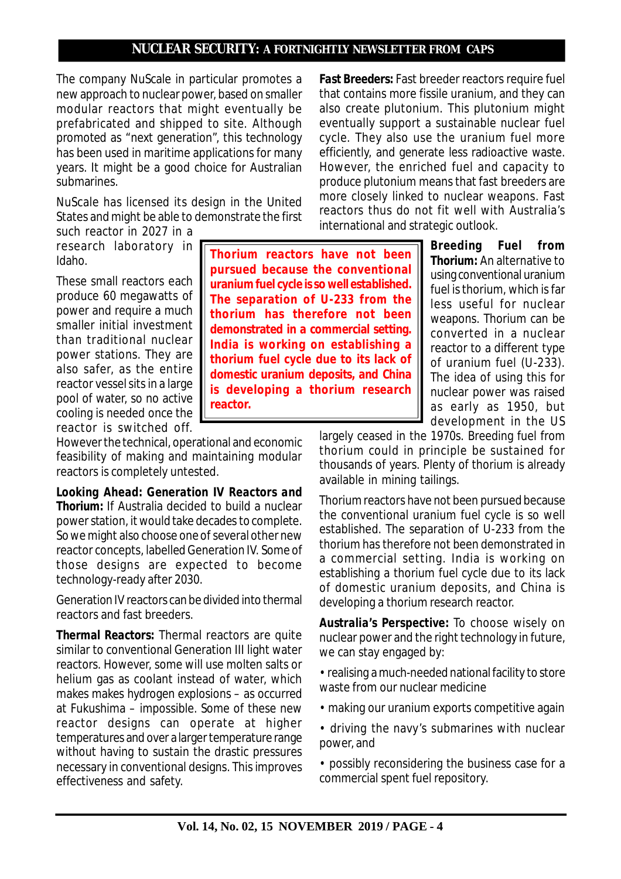**Thorium reactors have not been pursued because the conventional uranium fuel cycle is so well established. The separation of U-233 from the thorium has therefore not been demonstrated in a commercial setting. India is working on establishing a thorium fuel cycle due to its lack of domestic uranium deposits, and China is developing a thorium research**

The company NuScale in particular promotes a new approach to nuclear power, based on smaller modular reactors that might eventually be prefabricated and shipped to site. Although promoted as "next generation", this technology has been used in maritime applications for many years. It might be a good choice for Australian submarines.

NuScale has licensed its design in the United States and might be able to demonstrate the first

such reactor in 2027 in a research laboratory in Idaho.

These small reactors each produce 60 megawatts of power and require a much smaller initial investment than traditional nuclear power stations. They are also safer, as the entire reactor vessel sits in a large pool of water, so no active cooling is needed once the reactor is switched off.

However the technical, operational and economic feasibility of making and maintaining modular reactors is completely untested.

**reactor.**

*Looking Ahead: Generation IV Reactors and Thorium:* If Australia decided to build a nuclear power station, it would take decades to complete. So we might also choose one of several other new reactor concepts, labelled Generation IV. Some of those designs are expected to become technology-ready after 2030.

Generation IV reactors can be divided into thermal reactors and fast breeders.

*Thermal Reactors: Thermal reactors are quite* similar to conventional Generation III light water reactors. However, some will use molten salts or helium gas as coolant instead of water, which makes makes hydrogen explosions – as occurred at Fukushima – impossible. Some of these new reactor designs can operate at higher temperatures and over a larger temperature range without having to sustain the drastic pressures necessary in conventional designs. This improves effectiveness and safety.

*Fast Breeders:* Fast breeder reactors require fuel that contains more fissile uranium, and they can also create plutonium. This plutonium might eventually support a sustainable nuclear fuel cycle. They also use the uranium fuel more efficiently, and generate less radioactive waste. However, the enriched fuel and capacity to produce plutonium means that fast breeders are more closely linked to nuclear weapons. Fast reactors thus do not fit well with Australia's international and strategic outlook.

> *Breeding Fuel from Thorium:* An alternative to using conventional uranium fuel is thorium, which is far less useful for nuclear weapons. Thorium can be converted in a nuclear reactor to a different type of uranium fuel (U-233). The idea of using this for nuclear power was raised as early as 1950, but development in the US

largely ceased in the 1970s. Breeding fuel from thorium could in principle be sustained for thousands of years. Plenty of thorium is already available in mining tailings.

Thorium reactors have not been pursued because the conventional uranium fuel cycle is so well established. The separation of U-233 from the thorium has therefore not been demonstrated in a commercial setting. India is working on establishing a thorium fuel cycle due to its lack of domestic uranium deposits, and China is developing a thorium research reactor.

*Australia's Perspective:* To choose wisely on nuclear power and the right technology in future, we can stay engaged by:

- realising a much-needed national facility to store waste from our nuclear medicine
- making our uranium exports competitive again
- driving the navy's submarines with nuclear power, and

• possibly reconsidering the business case for a commercial spent fuel repository.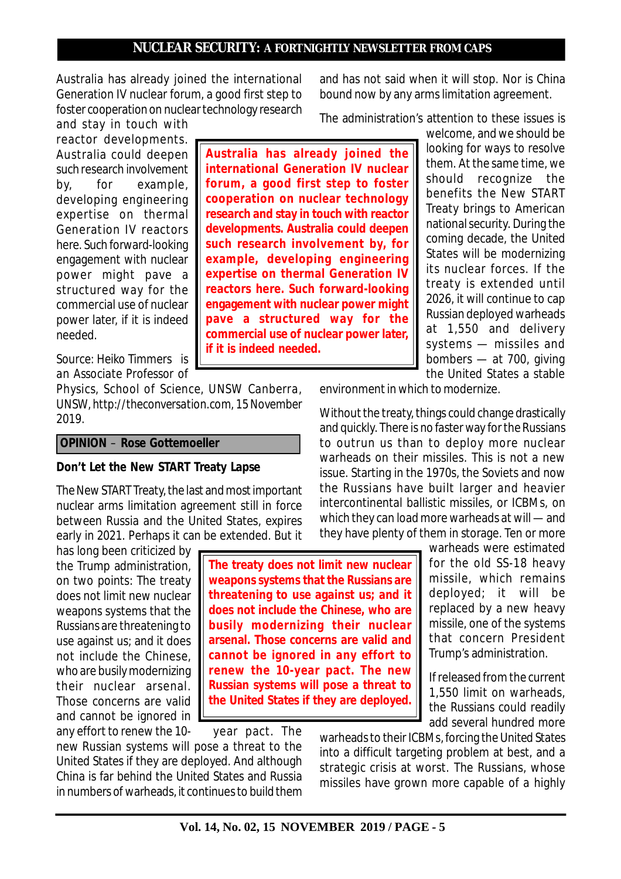**Australia has already joined the international Generation IV nuclear forum, a good first step to foster cooperation on nuclear technology research and stay in touch with reactor developments. Australia could deepen such research involvement by, for example, developing engineering expertise on thermal Generation IV reactors here. Such forward-looking engagement with nuclear power might pave a structured way for the commercial use of nuclear power later,**

**if it is indeed needed.**

Australia has already joined the international Generation IV nuclear forum, a good first step to foster cooperation on nuclear technology research

and stay in touch with reactor developments. Australia could deepen such research involvement by, for example, developing engineering expertise on thermal Generation IV reactors here. Such forward-looking engagement with nuclear power might pave a structured way for the commercial use of nuclear power later, if it is indeed needed.

*Source: Heiko Timmers is an Associate Professor of*

*Physics, School of Science, UNSW Canberra, UNSW, http://theconversation.com, 15 November 2019.*

## **OPINION** – **Rose Gottemoeller**

#### **Don't Let the New START Treaty Lapse**

The New START Treaty, the last and most important nuclear arms limitation agreement still in force between Russia and the United States, expires early in 2021. Perhaps it can be extended. But it

has long been criticized by the Trump administration, on two points: The treaty does not limit new nuclear weapons systems that the Russians are threatening to use against us; and it does not include the Chinese, who are busily modernizing their nuclear arsenal. Those concerns are valid and cannot be ignored in

**The treaty does not limit new nuclear weapons systems that the Russians are threatening to use against us; and it does not include the Chinese, who are busily modernizing their nuclear arsenal. Those concerns are valid and cannot be ignored in any effort to renew the 10-year pact. The new Russian systems will pose a threat to the United States if they are deployed.**

any effort to renew the 10- year pact. The new Russian systems will pose a threat to the United States if they are deployed. And although China is far behind the United States and Russia in numbers of warheads, it continues to build them and has not said when it will stop. Nor is China bound now by any arms limitation agreement.

The administration's attention to these issues is

welcome, and we should be looking for ways to resolve them. At the same time, we should recognize the benefits the New START Treaty brings to American national security. During the coming decade, the United States will be modernizing its nuclear forces. If the treaty is extended until 2026, it will continue to cap Russian deployed warheads at 1,550 and delivery systems — missiles and bombers — at 700, giving the United States a stable

environment in which to modernize.

Without the treaty, things could change drastically and quickly. There is no faster way for the Russians to outrun us than to deploy more nuclear warheads on their missiles. This is not a new issue. Starting in the 1970s, the Soviets and now the Russians have built larger and heavier intercontinental ballistic missiles, or ICBMs, on which they can load more warheads at will — and they have plenty of them in storage. Ten or more

> warheads were estimated for the old SS-18 heavy missile, which remains deployed; it will be replaced by a new heavy missile, one of the systems that concern President Trump's administration.

> If released from the current 1,550 limit on warheads, the Russians could readily add several hundred more

warheads to their ICBMs, forcing the United States into a difficult targeting problem at best, and a strategic crisis at worst. The Russians, whose missiles have grown more capable of a highly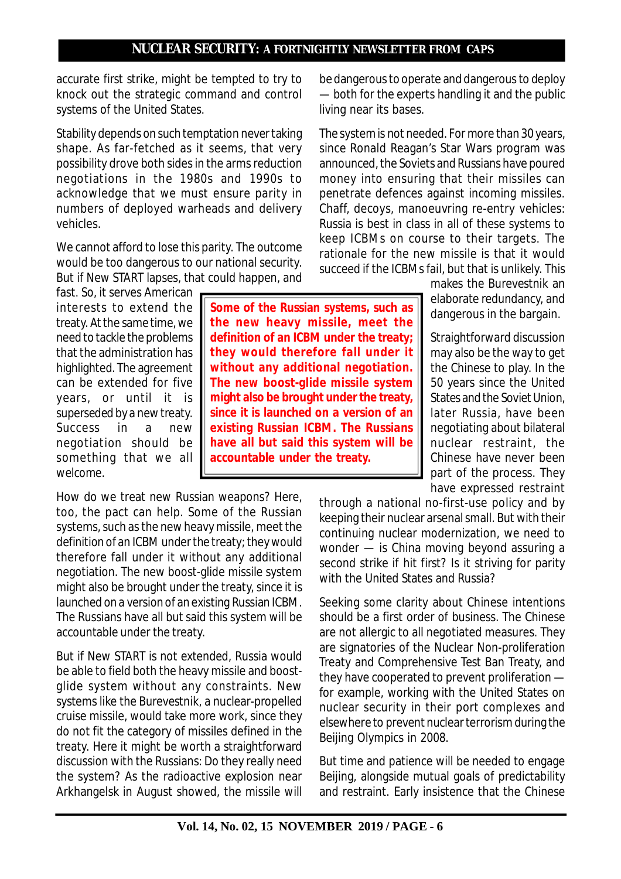accurate first strike, might be tempted to try to knock out the strategic command and control systems of the United States.

Stability depends on such temptation never taking shape. As far-fetched as it seems, that very possibility drove both sides in the arms reduction negotiations in the 1980s and 1990s to acknowledge that we must ensure parity in numbers of deployed warheads and delivery vehicles.

We cannot afford to lose this parity. The outcome would be too dangerous to our national security. But if New START lapses, that could happen, and

fast. So, it serves American interests to extend the treaty. At the same time, we need to tackle the problems that the administration has highlighted. The agreement can be extended for five years, or until it is superseded by a new treaty. Success in a new negotiation should be something that we all welcome.

How do we treat new Russian weapons? Here, too, the pact can help. Some of the Russian systems, such as the new heavy missile, meet the definition of an ICBM under the treaty; they would therefore fall under it without any additional negotiation. The new boost-glide missile system might also be brought under the treaty, since it is launched on a version of an existing Russian ICBM. The Russians have all but said this system will be accountable under the treaty.

But if New START is not extended, Russia would be able to field both the heavy missile and boostglide system without any constraints. New systems like the Burevestnik, a nuclear-propelled cruise missile, would take more work, since they do not fit the category of missiles defined in the treaty. Here it might be worth a straightforward discussion with the Russians: Do they really need the system? As the radioactive explosion near Arkhangelsk in August showed, the missile will

be dangerous to operate and dangerous to deploy — both for the experts handling it and the public living near its bases.

The system is not needed. For more than 30 years, since Ronald Reagan's Star Wars program was announced, the Soviets and Russians have poured money into ensuring that their missiles can penetrate defences against incoming missiles. Chaff, decoys, manoeuvring re-entry vehicles: Russia is best in class in all of these systems to keep ICBMs on course to their targets. The rationale for the new missile is that it would succeed if the ICBMs fail, but that is unlikely. This

> makes the Burevestnik an elaborate redundancy, and dangerous in the bargain.

Straightforward discussion may also be the way to get the Chinese to play. In the 50 years since the United States and the Soviet Union, later Russia, have been negotiating about bilateral nuclear restraint, the Chinese have never been part of the process. They have expressed restraint

through a national no-first-use policy and by keeping their nuclear arsenal small. But with their continuing nuclear modernization, we need to wonder — is China moving beyond assuring a second strike if hit first? Is it striving for parity with the United States and Russia?

Seeking some clarity about Chinese intentions should be a first order of business. The Chinese are not allergic to all negotiated measures. They are signatories of the Nuclear Non-proliferation Treaty and Comprehensive Test Ban Treaty, and they have cooperated to prevent proliferation for example, working with the United States on nuclear security in their port complexes and elsewhere to prevent nuclear terrorism during the Beijing Olympics in 2008.

But time and patience will be needed to engage Beijing, alongside mutual goals of predictability and restraint. Early insistence that the Chinese

**Some of the Russian systems, such as the new heavy missile, meet the definition of an ICBM under the treaty; they would therefore fall under it without any additional negotiation. The new boost-glide missile system might also be brought under the treaty, since it is launched on a version of an existing Russian ICBM. The Russians have all but said this system will be accountable under the treaty.**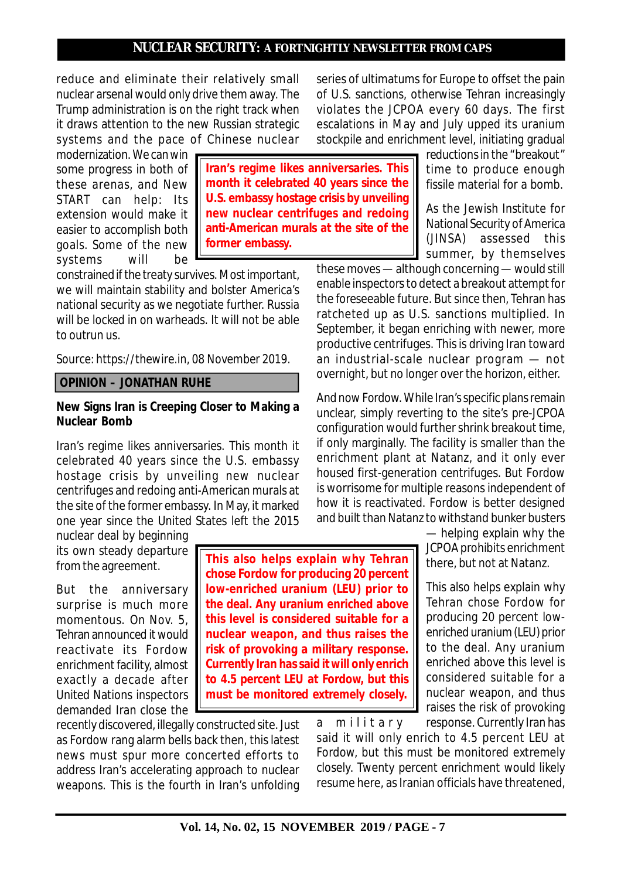**Iran's regime likes anniversaries. This month it celebrated 40 years since the U.S. embassy hostage crisis by unveiling new nuclear centrifuges and redoing anti-American murals at the site of the**

**former embassy.**

reduce and eliminate their relatively small nuclear arsenal would only drive them away. The Trump administration is on the right track when it draws attention to the new Russian strategic systems and the pace of Chinese nuclear

modernization. We can win some progress in both of these arenas, and New START can help: Its extension would make it easier to accomplish both goals. Some of the new systems will be

constrained if the treaty survives. Most important, we will maintain stability and bolster America's national security as we negotiate further. Russia will be locked in on warheads. It will not be able to outrun us.

*Source: https://thewire.in, 08 November 2019.*

### **OPINION – JONATHAN RUHE**

### **New Signs Iran is Creeping Closer to Making a Nuclear Bomb**

Iran's regime likes anniversaries. This month it celebrated 40 years since the U.S. embassy hostage crisis by unveiling new nuclear centrifuges and redoing anti-American murals at the site of the former embassy. In May, it marked one year since the United States left the 2015

nuclear deal by beginning its own steady departure from the agreement.

But the anniversary surprise is much more momentous. On Nov. 5, Tehran announced it would reactivate its Fordow enrichment facility, almost exactly a decade after United Nations inspectors demanded Iran close the

recently discovered, illegally constructed site. Just as Fordow rang alarm bells back then, this latest news must spur more concerted efforts to address Iran's accelerating approach to nuclear weapons. This is the fourth in Iran's unfolding

series of ultimatums for Europe to offset the pain of U.S. sanctions, otherwise Tehran increasingly violates the JCPOA every 60 days. The first escalations in May and July upped its uranium stockpile and enrichment level, initiating gradual

> reductions in the "breakout" time to produce enough fissile material for a bomb.

> As the Jewish Institute for National Security of America (JINSA) assessed this summer, by themselves

these moves — although concerning — would still enable inspectors to detect a breakout attempt for the foreseeable future. But since then, Tehran has ratcheted up as U.S. sanctions multiplied. In September, it began enriching with newer, more productive centrifuges. This is driving Iran toward an industrial-scale nuclear program — not overnight, but no longer over the horizon, either.

And now Fordow. While Iran's specific plans remain unclear, simply reverting to the site's pre-JCPOA configuration would further shrink breakout time, if only marginally. The facility is smaller than the enrichment plant at Natanz, and it only ever housed first-generation centrifuges. But Fordow is worrisome for multiple reasons independent of how it is reactivated. Fordow is better designed and built than Natanz to withstand bunker busters

> — helping explain why the JCPOA prohibits enrichment there, but not at Natanz.

> This also helps explain why Tehran chose Fordow for producing 20 percent lowenriched uranium (LEU) prior to the deal. Any uranium enriched above this level is considered suitable for a nuclear weapon, and thus raises the risk of provoking

a military response. Currently Iran has said it will only enrich to 4.5 percent LEU at Fordow, but this must be monitored extremely closely. Twenty percent enrichment would likely resume here, as Iranian officials have threatened,

**This also helps explain why Tehran chose Fordow for producing 20 percent low-enriched uranium (LEU) prior to the deal. Any uranium enriched above this level is considered suitable for a nuclear weapon, and thus raises the risk of provoking a military response. Currently Iran has said it will only enrich to 4.5 percent LEU at Fordow, but this**

**must be monitored extremely closely.**

**Vol. 14, No. 02, 15 NOVEMBER 2019 / PAGE - 7**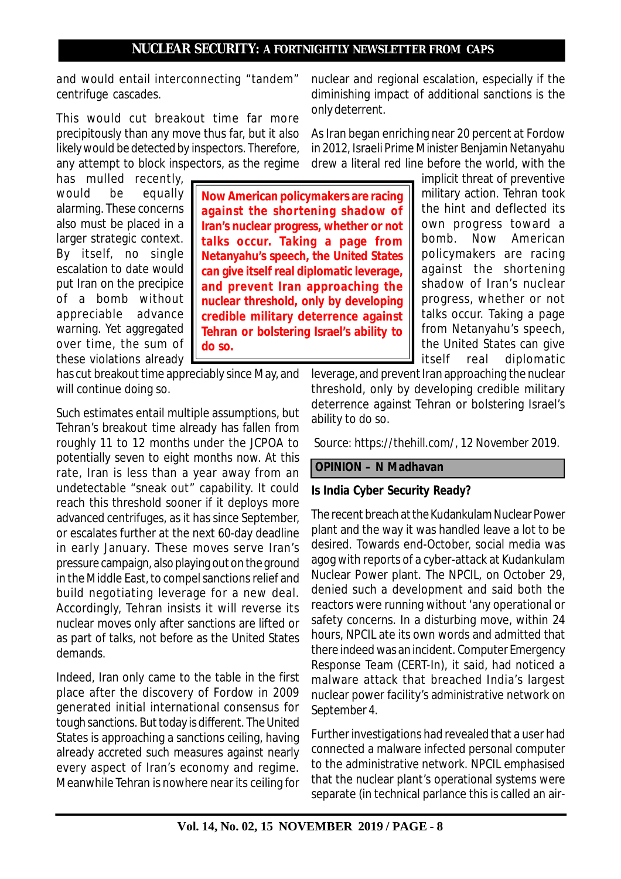**Now American policymakers are racing against the shortening shadow of Iran's nuclear progress, whether or not talks occur. Taking a page from Netanyahu's speech, the United States can give itself real diplomatic leverage, and prevent Iran approaching the nuclear threshold, only by developing credible military deterrence against Tehran or bolstering Israel's ability to**

and would entail interconnecting "tandem" centrifuge cascades.

This would cut breakout time far more precipitously than any move thus far, but it also likely would be detected by inspectors. Therefore, any attempt to block inspectors, as the regime

has mulled recently, would be equally alarming. These concerns also must be placed in a larger strategic context. By itself, no single escalation to date would put Iran on the precipice of a bomb without appreciable advance warning. Yet aggregated over time, the sum of these violations already

has cut breakout time appreciably since May, and will continue doing so.

**do so.**

Such estimates entail multiple assumptions, but Tehran's breakout time already has fallen from roughly 11 to 12 months under the JCPOA to potentially seven to eight months now. At this rate, Iran is less than a year away from an undetectable "sneak out" capability. It could reach this threshold sooner if it deploys more advanced centrifuges, as it has since September, or escalates further at the next 60-day deadline in early January. These moves serve Iran's pressure campaign, also playing out on the ground in the Middle East, to compel sanctions relief and build negotiating leverage for a new deal. Accordingly, Tehran insists it will reverse its nuclear moves only after sanctions are lifted or as part of talks, not before as the United States demands.

Indeed, Iran only came to the table in the first place after the discovery of Fordow in 2009 generated initial international consensus for tough sanctions. But today is different. The United States is approaching a sanctions ceiling, having already accreted such measures against nearly every aspect of Iran's economy and regime. Meanwhile Tehran is nowhere near its ceiling for nuclear and regional escalation, especially if the diminishing impact of additional sanctions is the only deterrent.

As Iran began enriching near 20 percent at Fordow in 2012, Israeli Prime Minister Benjamin Netanyahu drew a literal red line before the world, with the

> implicit threat of preventive military action. Tehran took the hint and deflected its own progress toward a bomb. Now American policymakers are racing against the shortening shadow of Iran's nuclear progress, whether or not talks occur. Taking a page from Netanyahu's speech, the United States can give itself real diplomatic

leverage, and prevent Iran approaching the nuclear threshold, only by developing credible military deterrence against Tehran or bolstering Israel's ability to do so.

*Source: https://thehill.com/, 12 November 2019.*

## **OPINION – N Madhavan**

## **Is India Cyber Security Ready?**

The recent breach at the Kudankulam Nuclear Power plant and the way it was handled leave a lot to be desired. Towards end-October, social media was agog with reports of a cyber-attack at Kudankulam Nuclear Power plant. The NPCIL, on October 29, denied such a development and said both the reactors were running without 'any operational or safety concerns. In a disturbing move, within 24 hours, NPCIL ate its own words and admitted that there indeed was an incident. Computer Emergency Response Team (CERT-In), it said, had noticed a malware attack that breached India's largest nuclear power facility's administrative network on September 4.

Further investigations had revealed that a user had connected a malware infected personal computer to the administrative network. NPCIL emphasised that the nuclear plant's operational systems were separate (in technical parlance this is called an air-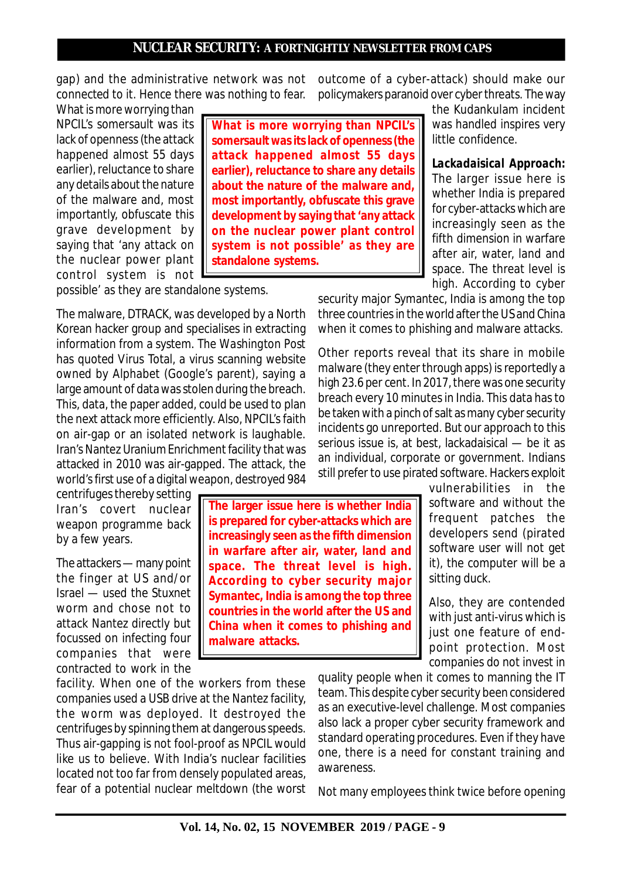gap) and the administrative network was not connected to it. Hence there was nothing to fear.

What is more worrying than NPCIL's somersault was its lack of openness (the attack happened almost 55 days earlier), reluctance to share any details about the nature of the malware and, most importantly, obfuscate this grave development by saying that 'any attack on the nuclear power plant control system is not

**What is more worrying than NPCIL's somersault was its lack of openness (the attack happened almost 55 days earlier), reluctance to share any details about the nature of the malware and, most importantly, obfuscate this grave development by saying that 'any attack on the nuclear power plant control system is not possible' as they are standalone systems.**

possible' as they are standalone systems.

The malware, DTRACK, was developed by a North Korean hacker group and specialises in extracting information from a system. *The Washington Post* has quoted Virus Total, a virus scanning website owned by Alphabet (Google's parent), saying a large amount of data was stolen during the breach. This, data, the paper added, could be used to plan the next attack more efficiently. Also, NPCIL's faith on air-gap or an isolated network is laughable. Iran's Nantez Uranium Enrichment facility that was attacked in 2010 was air-gapped. The attack, the world's first use of a digital weapon, destroyed 984

centrifuges thereby setting Iran's covert nuclear weapon programme back by a few years.

The attackers — many point the finger at US and/or Israel — used the Stuxnet worm and chose not to attack Nantez directly but focussed on infecting four companies that were contracted to work in the

facility. When one of the workers from these companies used a USB drive at the Nantez facility, the worm was deployed. It destroyed the centrifuges by spinning them at dangerous speeds. Thus air-gapping is not fool-proof as NPCIL would like us to believe. With India's nuclear facilities located not too far from densely populated areas, fear of a potential nuclear meltdown (the worst

breach every 10 minutes in India. This data has to be taken with a pinch of salt as many cyber security incidents go unreported. But our approach to this serious issue is, at best, lackadaisical — be it as an individual, corporate or government. Indians still prefer to use pirated software. Hackers exploit vulnerabilities in the **The larger issue here is whether India**

software and without the frequent patches the developers send (pirated software user will not get it), the computer will be a sitting duck.

Also, they are contended with just anti-virus which is just one feature of endpoint protection. Most companies do not invest in

quality people when it comes to manning the IT team. This despite cyber security been considered as an executive-level challenge. Most companies also lack a proper cyber security framework and standard operating procedures. Even if they have one, there is a need for constant training and awareness.

Not many employees think twice before opening

outcome of a cyber-attack) should make our policymakers paranoid over cyber threats. The way

the Kudankulam incident was handled inspires very little confidence.

*Lackadaisical Approach:* The larger issue here is whether India is prepared for cyber-attacks which are increasingly seen as the fifth dimension in warfare after air, water, land and space. The threat level is high. According to cyber

security major Symantec, India is among the top three countries in the world after the US and China when it comes to phishing and malware attacks.

Other reports reveal that its share in mobile malware (they enter through apps) is reportedly a

high 23.6 per cent. In 2017, there was one security

**is prepared for cyber-attacks which are increasingly seen as the fifth dimension in warfare after air, water, land and space. The threat level is high. According to cyber security major Symantec, India is among the top three countries in the world after the US and**

**Vol. 14, No. 02, 15 NOVEMBER 2019 / PAGE - 9**

**China when it comes to phishing and**

**malware attacks.**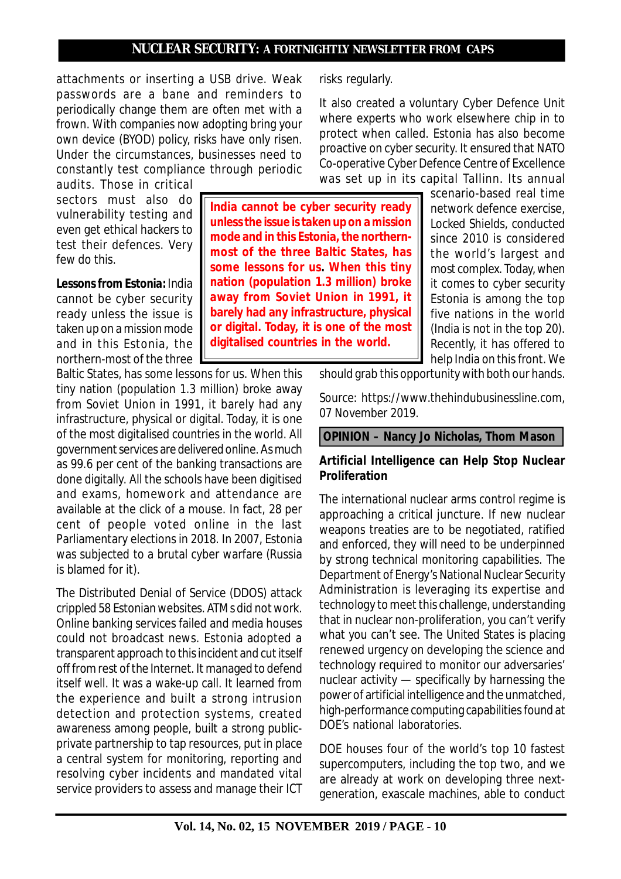attachments or inserting a USB drive. Weak passwords are a bane and reminders to periodically change them are often met with a frown. With companies now adopting bring your own device (BYOD) policy, risks have only risen. Under the circumstances, businesses need to constantly test compliance through periodic

audits. Those in critical sectors must also do vulnerability testing and even get ethical hackers to test their defences. Very few do this.

## *Lessons from Estonia:* India

cannot be cyber security ready unless the issue is taken up on a mission mode and in this Estonia, the northern-most of the three

Baltic States, has some lessons for us. When this tiny nation (population 1.3 million) broke away from Soviet Union in 1991, it barely had any infrastructure, physical or digital. Today, it is one of the most digitalised countries in the world. All government services are delivered online. As much as 99.6 per cent of the banking transactions are done digitally. All the schools have been digitised and exams, homework and attendance are available at the click of a mouse. In fact, 28 per cent of people voted online in the last Parliamentary elections in 2018. In 2007, Estonia was subjected to a brutal cyber warfare (Russia is blamed for it).

The Distributed Denial of Service (DDOS) attack crippled 58 Estonian websites. ATMs did not work. Online banking services failed and media houses could not broadcast news. Estonia adopted a transparent approach to this incident and cut itself off from rest of the Internet. It managed to defend itself well. It was a wake-up call. It learned from the experience and built a strong intrusion detection and protection systems, created awareness among people, built a strong publicprivate partnership to tap resources, put in place a central system for monitoring, reporting and resolving cyber incidents and mandated vital service providers to assess and manage their ICT

risks regularly.

It also created a voluntary Cyber Defence Unit where experts who work elsewhere chip in to protect when called. Estonia has also become proactive on cyber security. It ensured that NATO Co-operative Cyber Defence Centre of Excellence was set up in its capital Tallinn. Its annual

> scenario-based real time network defence exercise, Locked Shields, conducted since 2010 is considered the world's largest and most complex. Today, when it comes to cyber security Estonia is among the top five nations in the world (India is not in the top 20). Recently, it has offered to help India on this front. We

should grab this opportunity with both our hands.

*Source: https://www.thehindubusinessline.com, 07 November 2019.*

 **OPINION – Nancy Jo Nicholas, Thom Mason**

## **Artificial Intelligence can Help Stop Nuclear Proliferation**

The international nuclear arms control regime is approaching a critical juncture. If new nuclear weapons treaties are to be negotiated, ratified and enforced, they will need to be underpinned by strong technical monitoring capabilities. The Department of Energy's National Nuclear Security Administration is leveraging its expertise and technology to meet this challenge, understanding that in nuclear non-proliferation, you can't verify what you can't see. The United States is placing renewed urgency on developing the science and technology required to monitor our adversaries' nuclear activity — specifically by harnessing the power of artificial intelligence and the unmatched, high-performance computing capabilities found at DOE's national laboratories.

DOE houses four of the world's top 10 fastest supercomputers, including the top two, and we are already at work on developing three nextgeneration, exascale machines, able to conduct

## **unless the issue is taken up on a mission mode and in this Estonia, the northernmost of the three Baltic States, has some lessons for us. When this tiny nation (population 1.3 million) broke away from Soviet Union in 1991, it barely had any infrastructure, physical or digital. Today, it is one of the most digitalised countries in the world.**

**India cannot be cyber security ready**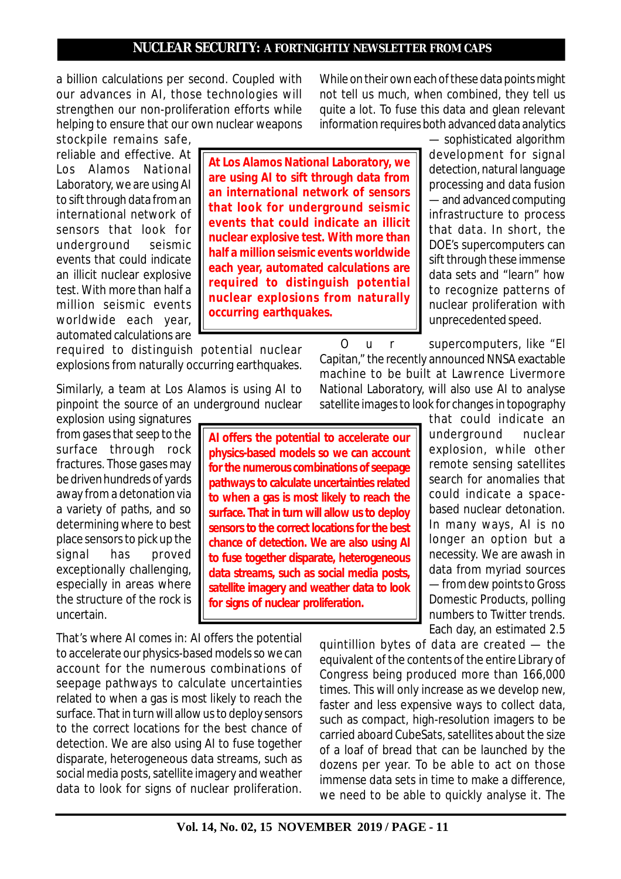a billion calculations per second. Coupled with our advances in AI, those technologies will strengthen our non-proliferation efforts while helping to ensure that our own nuclear weapons stockpile remains safe,

reliable and effective. At Los Alamos National Laboratory, we are using AI to sift through data from an international network of sensors that look for underground seismic events that could indicate an illicit nuclear explosive test. With more than half a million seismic events worldwide each year, automated calculations are

required to distinguish potential nuclear explosions from naturally occurring earthquakes.

Similarly, a team at Los Alamos is using AI to pinpoint the source of an underground nuclear

explosion using signatures from gases that seep to the surface through rock fractures. Those gases may be driven hundreds of yards away from a detonation via a variety of paths, and so determining where to best place sensors to pick up the signal has proved exceptionally challenging, especially in areas where the structure of the rock is uncertain.

That's where AI comes in: AI offers the potential to accelerate our physics-based models so we can account for the numerous combinations of seepage pathways to calculate uncertainties related to when a gas is most likely to reach the surface. That in turn will allow us to deploy sensors to the correct locations for the best chance of detection. We are also using AI to fuse together disparate, heterogeneous data streams, such as social media posts, satellite imagery and weather data to look for signs of nuclear proliferation.

While on their own each of these data points might not tell us much, when combined, they tell us quite a lot. To fuse this data and glean relevant information requires both advanced data analytics

**At Los Alamos National Laboratory, we are using AI to sift through data from an international network of sensors that look for underground seismic events that could indicate an illicit nuclear explosive test. With more than half a million seismic events worldwide each year, automated calculations are required to distinguish potential nuclear explosions from naturally occurring earthquakes.**

— sophisticated algorithm development for signal detection, natural language processing and data fusion — and advanced computing infrastructure to process that data. In short, the DOE's supercomputers can sift through these immense data sets and "learn" how to recognize patterns of nuclear proliferation with unprecedented speed.

O u r supercomputers, like "El

Capitan," the recently announced NNSA exactable machine to be built at Lawrence Livermore National Laboratory, will also use AI to analyse satellite images to look for changes in topography

> that could indicate an underground nuclear explosion, while other remote sensing satellites search for anomalies that could indicate a spacebased nuclear detonation. In many ways, AI is no longer an option but a necessity. We are awash in data from myriad sources — from dew points to Gross Domestic Products, polling numbers to Twitter trends. Each day, an estimated 2.5

quintillion bytes of data are created — the equivalent of the contents of the entire Library of Congress being produced more than 166,000 times. This will only increase as we develop new, faster and less expensive ways to collect data, such as compact, high-resolution imagers to be carried aboard CubeSats, satellites about the size of a loaf of bread that can be launched by the dozens per year. To be able to act on those immense data sets in time to make a difference, we need to be able to quickly analyse it. The

**AI offers the potential to accelerate our physics-based models so we can account for the numerous combinations of seepage pathways to calculate uncertainties related to when a gas is most likely to reach the surface. That in turn will allow us to deploy sensors to the correct locations for the best**

> **chance of detection. We are also using AI to fuse together disparate, heterogeneous data streams, such as social media posts, satellite imagery and weather data to look**

**for signs of nuclear proliferation.**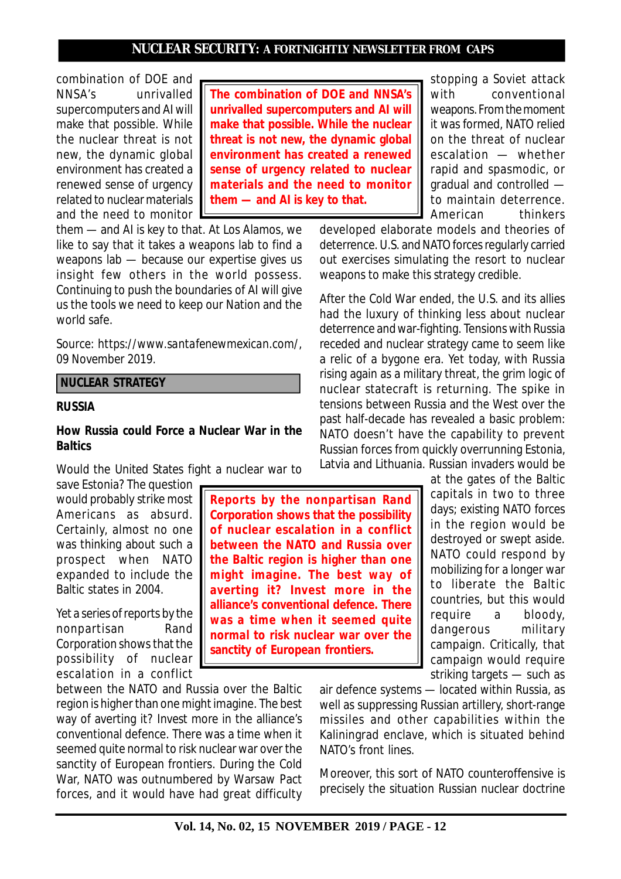combination of DOE and NNSA's unrivalled supercomputers and AI will make that possible. While the nuclear threat is not new, the dynamic global environment has created a renewed sense of urgency related to nuclear materials and the need to monitor

**The combination of DOE and NNSA's unrivalled supercomputers and AI will make that possible. While the nuclear threat is not new, the dynamic global environment has created a renewed sense of urgency related to nuclear materials and the need to monitor them — and AI is key to that.**

them — and AI is key to that. At Los Alamos, we like to say that it takes a weapons lab to find a weapons lab — because our expertise gives us insight few others in the world possess. Continuing to push the boundaries of AI will give us the tools we need to keep our Nation and the world safe.

*Source: https://www.santafenewmexican.com/, 09 November 2019.*

### **NUCLEAR STRATEGY**

### **RUSSIA**

## **How Russia could Force a Nuclear War in the Baltics**

Would the United States fight a nuclear war to

save Estonia? The question would probably strike most Americans as absurd. Certainly, almost no one was thinking about such a prospect when NATO expanded to include the Baltic states in 2004.

Yet a series of reports by the nonpartisan Rand Corporation shows that the possibility of nuclear escalation in a conflict

between the NATO and Russia over the Baltic region is higher than one might imagine. The best way of averting it? Invest more in the alliance's conventional defence. There was a time when it seemed quite normal to risk nuclear war over the sanctity of European frontiers. During the Cold War, NATO was outnumbered by Warsaw Pact forces, and it would have had great difficulty

**Reports by the nonpartisan Rand Corporation shows that the possibility of nuclear escalation in a conflict between the NATO and Russia over the Baltic region is higher than one might imagine. The best way of averting it? Invest more in the alliance's conventional defence. There was a time when it seemed quite normal to risk nuclear war over the sanctity of European frontiers.**

stopping a Soviet attack with conventional weapons. From the moment it was formed, NATO relied on the threat of nuclear escalation — whether rapid and spasmodic, or gradual and controlled to maintain deterrence. American thinkers

developed elaborate models and theories of deterrence. U.S. and NATO forces regularly carried out exercises simulating the resort to nuclear weapons to make this strategy credible.

After the Cold War ended, the U.S. and its allies had the luxury of thinking less about nuclear deterrence and war-fighting. Tensions with Russia receded and nuclear strategy came to seem like a relic of a bygone era. Yet today, with Russia rising again as a military threat, the grim logic of nuclear statecraft is returning. The spike in tensions between Russia and the West over the past half-decade has revealed a basic problem: NATO doesn't have the capability to prevent Russian forces from quickly overrunning Estonia, Latvia and Lithuania. Russian invaders would be

> at the gates of the Baltic capitals in two to three days; existing NATO forces in the region would be destroyed or swept aside. NATO could respond by mobilizing for a longer war to liberate the Baltic countries, but this would require a bloody, dangerous military campaign. Critically, that campaign would require striking targets — such as

air defence systems — located within Russia, as well as suppressing Russian artillery, short-range missiles and other capabilities within the Kaliningrad enclave, which is situated behind NATO's front lines.

Moreover, this sort of NATO counteroffensive is precisely the situation Russian nuclear doctrine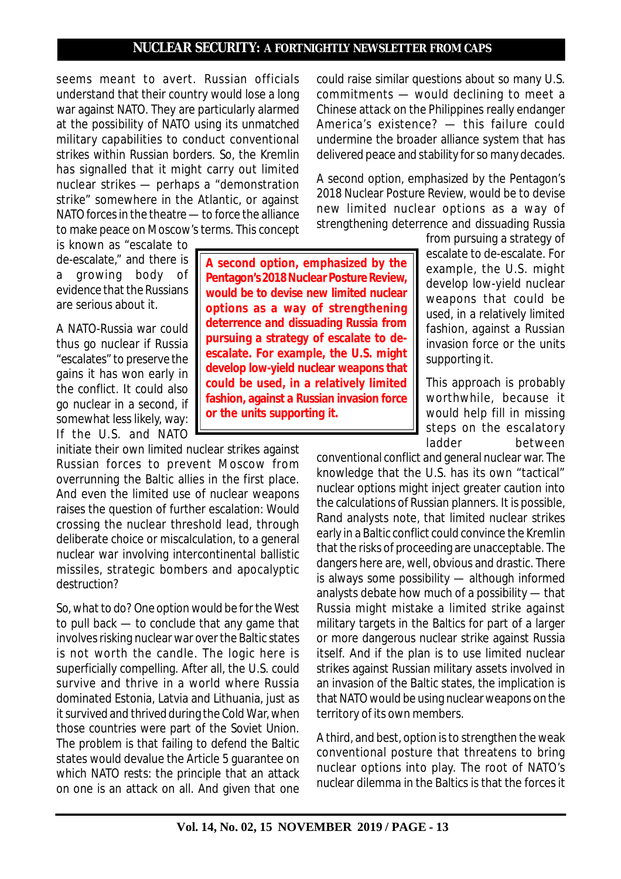seems meant to avert. Russian officials understand that their country would lose a long war against NATO. They are particularly alarmed at the possibility of NATO using its unmatched military capabilities to conduct conventional strikes within Russian borders. So, the Kremlin has signalled that it might carry out limited nuclear strikes — perhaps a "demonstration strike" somewhere in the Atlantic, or against NATO forces in the theatre — to force the alliance to make peace on Moscow's terms. This concept

is known as "escalate to de-escalate," and there is a growing body of evidence that the Russians are serious about it.

A NATO-Russia war could thus go nuclear if Russia "escalates" to preserve the gains it has won early in the conflict. It could also go nuclear in a second, if somewhat less likely, way: If the U.S. and NATO

initiate their own limited nuclear strikes against Russian forces to prevent Moscow from overrunning the Baltic allies in the first place. And even the limited use of nuclear weapons raises the question of further escalation: Would crossing the nuclear threshold lead, through deliberate choice or miscalculation, to a general nuclear war involving intercontinental ballistic missiles, strategic bombers and apocalyptic destruction?

So, what to do? One option would be for the West to pull back — to conclude that any game that involves risking nuclear war over the Baltic states is not worth the candle. The logic here is superficially compelling. After all, the U.S. could survive and thrive in a world where Russia dominated Estonia, Latvia and Lithuania, just as it survived and thrived during the Cold War, when those countries were part of the Soviet Union. The problem is that failing to defend the Baltic states would devalue the Article 5 guarantee on which NATO rests: the principle that an attack on one is an attack on all. And given that one

could raise similar questions about so many U.S. commitments — would declining to meet a Chinese attack on the Philippines really endanger America's existence? — this failure could undermine the broader alliance system that has delivered peace and stability for so many decades.

A second option, emphasized by the Pentagon's 2018 Nuclear Posture Review, would be to devise new limited nuclear options as a way of strengthening deterrence and dissuading Russia

**A second option, emphasized by the Pentagon's 2018 Nuclear Posture Review, would be to devise new limited nuclear options as a way of strengthening deterrence and dissuading Russia from pursuing a strategy of escalate to deescalate. For example, the U.S. might develop low-yield nuclear weapons that could be used, in a relatively limited fashion, against a Russian invasion force or the units supporting it.**

from pursuing a strategy of escalate to de-escalate. For example, the U.S. might develop low-yield nuclear weapons that could be used, in a relatively limited fashion, against a Russian invasion force or the units supporting it.

This approach is probably worthwhile, because it would help fill in missing steps on the escalatory ladder between

conventional conflict and general nuclear war. The knowledge that the U.S. has its own "tactical" nuclear options might inject greater caution into the calculations of Russian planners. It is possible, Rand analysts note, that limited nuclear strikes early in a Baltic conflict could convince the Kremlin that the risks of proceeding are unacceptable. The dangers here are, well, obvious and drastic. There is always some possibility — although informed analysts debate how much of a possibility — that Russia might mistake a limited strike against military targets in the Baltics for part of a larger or more dangerous nuclear strike against Russia itself. And if the plan is to use limited nuclear strikes against Russian military assets involved in an invasion of the Baltic states, the implication is that NATO would be using nuclear weapons on the territory of its own members.

A third, and best, option is to strengthen the weak conventional posture that threatens to bring nuclear options into play. The root of NATO's nuclear dilemma in the Baltics is that the forces it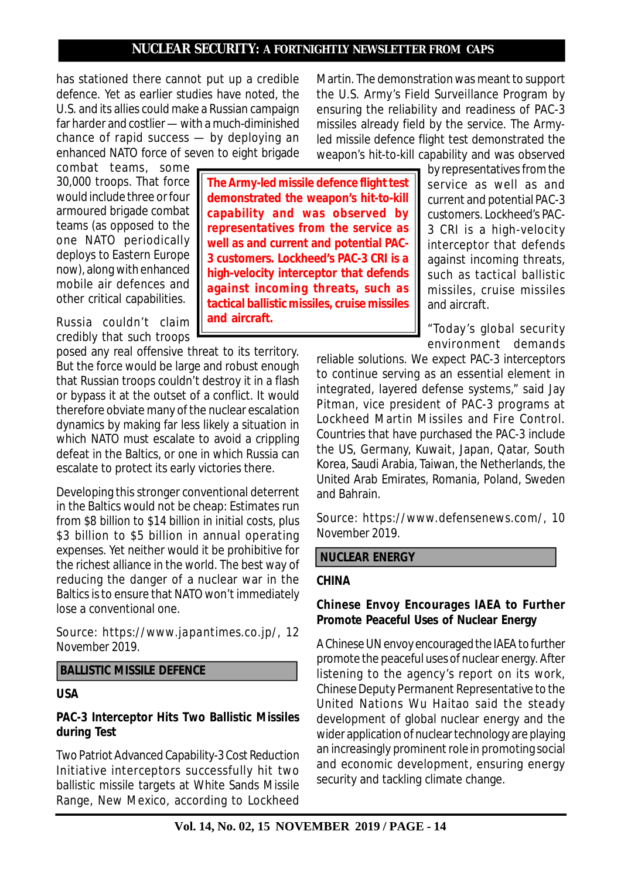**demonstrated the weapon's hit-to-kill capability and was observed by representatives from the service as well as and current and potential PAC-3 customers. Lockheed's PAC-3 CRI is a high-velocity interceptor that defends against incoming threats, such as tactical ballistic missiles, cruise missiles**

has stationed there cannot put up a credible defence. Yet as earlier studies have noted, the U.S. and its allies could make a Russian campaign far harder and costlier — with a much-diminished chance of rapid success — by deploying an enhanced NATO force of seven to eight brigade

combat teams, some 30,000 troops. That force would include three or four armoured brigade combat teams (as opposed to the one NATO periodically deploys to Eastern Europe now), along with enhanced mobile air defences and other critical capabilities.

Russia couldn't claim credibly that such troops

posed any real offensive threat to its territory. But the force would be large and robust enough that Russian troops couldn't destroy it in a flash or bypass it at the outset of a conflict. It would therefore obviate many of the nuclear escalation dynamics by making far less likely a situation in which NATO must escalate to avoid a crippling defeat in the Baltics, or one in which Russia can escalate to protect its early victories there.

**and aircraft.**

Developing this stronger conventional deterrent in the Baltics would not be cheap: Estimates run from \$8 billion to \$14 billion in initial costs, plus \$3 billion to \$5 billion in annual operating expenses. Yet neither would it be prohibitive for the richest alliance in the world. The best way of reducing the danger of a nuclear war in the Baltics is to ensure that NATO won't immediately lose a conventional one.

*Source: https://www.japantimes.co.jp/, 12 November 2019.*

# **BALLISTIC MISSILE DEFENCE**

### **USA**

## **PAC-3 Interceptor Hits Two Ballistic Missiles during Test**

Two Patriot Advanced Capability-3 Cost Reduction Initiative interceptors successfully hit two ballistic missile targets at White Sands Missile Range, New Mexico, according to Lockheed

the U.S. Army's Field Surveillance Program by ensuring the reliability and readiness of PAC-3 missiles already field by the service. The Armyled missile defence flight test demonstrated the weapon's hit-to-kill capability and was observed **The Army-led missile defence flight test**

Martin. The demonstration was meant to support

by representatives from the service as well as and current and potential PAC-3 customers. Lockheed's PAC-3 CRI is a high-velocity interceptor that defends against incoming threats, such as tactical ballistic missiles, cruise missiles and aircraft.

"Today's global security environment demands

reliable solutions. We expect PAC-3 interceptors to continue serving as an essential element in integrated, layered defense systems," said Jay Pitman, vice president of PAC-3 programs at Lockheed Martin Missiles and Fire Control. Countries that have purchased the PAC-3 include the US, Germany, Kuwait, Japan, Qatar, South Korea, Saudi Arabia, Taiwan, the Netherlands, the United Arab Emirates, Romania, Poland, Sweden and Bahrain.

*Source: https://www.defensenews.com/, 10 November 2019.*

### **NUCLEAR ENERGY**

### **CHINA**

### **Chinese Envoy Encourages IAEA to Further Promote Peaceful Uses of Nuclear Energy**

A Chinese UN envoy encouraged the IAEA to further promote the peaceful uses of nuclear energy. After listening to the agency's report on its work, Chinese Deputy Permanent Representative to the United Nations Wu Haitao said the steady development of global nuclear energy and the wider application of nuclear technology are playing an increasingly prominent role in promoting social and economic development, ensuring energy security and tackling climate change.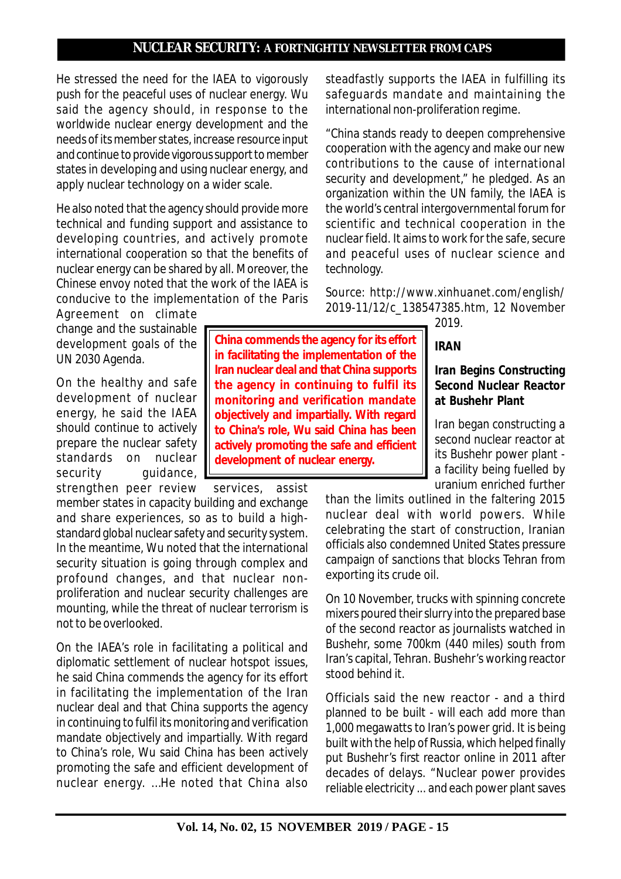He stressed the need for the IAEA to vigorously push for the peaceful uses of nuclear energy. Wu said the agency should, in response to the worldwide nuclear energy development and the needs of its member states, increase resource input and continue to provide vigorous support to member states in developing and using nuclear energy, and apply nuclear technology on a wider scale.

He also noted that the agency should provide more technical and funding support and assistance to developing countries, and actively promote international cooperation so that the benefits of nuclear energy can be shared by all. Moreover, the Chinese envoy noted that the work of the IAEA is conducive to the implementation of the Paris

Agreement on climate change and the sustainable development goals of the UN 2030 Agenda.

On the healthy and safe development of nuclear energy, he said the IAEA should continue to actively prepare the nuclear safety standards on nuclear security quidance,

strengthen peer review services, assist member states in capacity building and exchange and share experiences, so as to build a highstandard global nuclear safety and security system. In the meantime, Wu noted that the international security situation is going through complex and profound changes, and that nuclear nonproliferation and nuclear security challenges are mounting, while the threat of nuclear terrorism is not to be overlooked.

On the IAEA's role in facilitating a political and diplomatic settlement of nuclear hotspot issues, he said China commends the agency for its effort in facilitating the implementation of the Iran nuclear deal and that China supports the agency in continuing to fulfil its monitoring and verification mandate objectively and impartially. With regard to China's role, Wu said China has been actively promoting the safe and efficient development of nuclear energy. …He noted that China also

**China commends the agency for its effort in facilitating the implementation of the Iran nuclear deal and that China supports the agency in continuing to fulfil its monitoring and verification mandate objectively and impartially. With regard to China's role, Wu said China has been actively promoting the safe and efficient development of nuclear energy.**

steadfastly supports the IAEA in fulfilling its safeguards mandate and maintaining the international non-proliferation regime.

"China stands ready to deepen comprehensive cooperation with the agency and make our new contributions to the cause of international security and development." he pledged. As an organization within the UN family, the IAEA is the world's central intergovernmental forum for scientific and technical cooperation in the nuclear field. It aims to work for the safe, secure and peaceful uses of nuclear science and technology.

*Source: http://www.xinhuanet.com/english/ 2019-11/12/c\_138547385.htm, 12 November*

*2019.*

# **IRAN**

## **Iran Begins Constructing Second Nuclear Reactor at Bushehr Plant**

Iran began constructing a second nuclear reactor at its Bushehr power plant a facility being fuelled by uranium enriched further

than the limits outlined in the faltering 2015 nuclear deal with world powers. While celebrating the start of construction, Iranian officials also condemned United States pressure campaign of sanctions that blocks Tehran from exporting its crude oil.

On 10 November, trucks with spinning concrete mixers poured their slurry into the prepared base of the second reactor as journalists watched in Bushehr, some 700km (440 miles) south from Iran's capital, Tehran. Bushehr's working reactor stood behind it.

Officials said the new reactor - and a third planned to be built - will each add more than 1,000 megawatts to Iran's power grid. It is being built with the help of Russia, which helped finally put Bushehr's first reactor online in 2011 after decades of delays. "Nuclear power provides reliable electricity ... and each power plant saves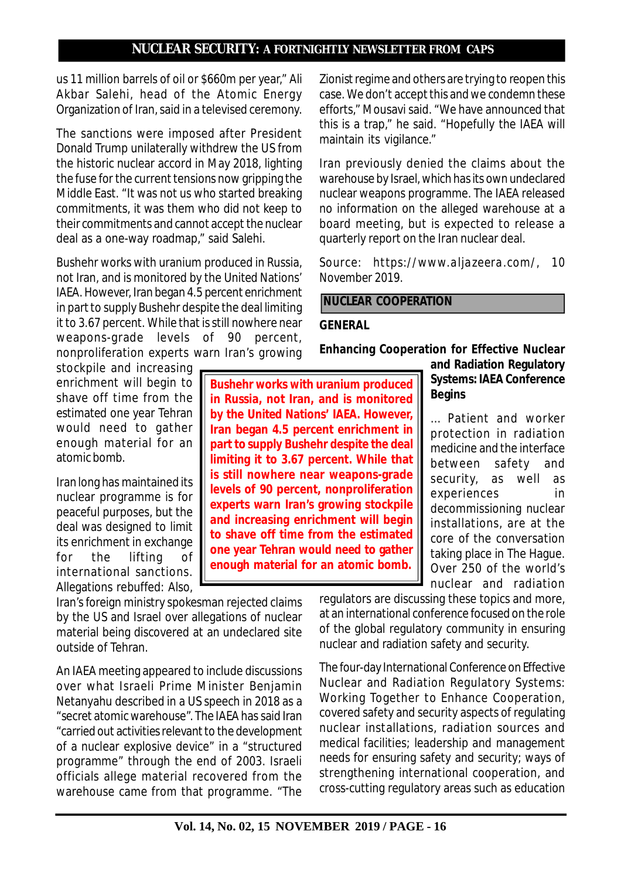us 11 million barrels of oil or \$660m per year," Ali Akbar Salehi, head of the Atomic Energy Organization of Iran, said in a televised ceremony.

The sanctions were imposed after President Donald Trump unilaterally withdrew the US from the historic nuclear accord in May 2018, lighting the fuse for the current tensions now gripping the Middle East. "It was not us who started breaking commitments, it was them who did not keep to their commitments and cannot accept the nuclear deal as a one-way roadmap," said Salehi.

Bushehr works with uranium produced in Russia, not Iran, and is monitored by the United Nations' IAEA. However, Iran began 4.5 percent enrichment in part to supply Bushehr despite the deal limiting it to 3.67 percent. While that is still nowhere near weapons-grade levels of 90 percent, nonproliferation experts warn Iran's growing

stockpile and increasing enrichment will begin to shave off time from the estimated one year Tehran would need to gather enough material for an atomic bomb.

Iran long has maintained its nuclear programme is for peaceful purposes, but the deal was designed to limit its enrichment in exchange for the lifting of international sanctions. Allegations rebuffed: Also,

Iran's foreign ministry spokesman rejected claims by the US and Israel over allegations of nuclear material being discovered at an undeclared site outside of Tehran.

An IAEA meeting appeared to include discussions over what Israeli Prime Minister Benjamin Netanyahu described in a US speech in 2018 as a "secret atomic warehouse". The IAEA has said Iran "carried out activities relevant to the development of a nuclear explosive device" in a "structured programme" through the end of 2003. Israeli officials allege material recovered from the warehouse came from that programme. "The

Zionist regime and others are trying to reopen this case. We don't accept this and we condemn these efforts," Mousavi said. "We have announced that this is a trap," he said. "Hopefully the IAEA will maintain its vigilance."

Iran previously denied the claims about the warehouse by Israel, which has its own undeclared nuclear weapons programme. The IAEA released no information on the alleged warehouse at a board meeting, but is expected to release a quarterly report on the Iran nuclear deal.

*Source: https://www.aljazeera.com/, 10 November 2019.*

## **NUCLEAR COOPERATION**

### **GENERAL**

**Enhancing Cooperation for Effective Nuclear**

**Bushehr works with uranium produced in Russia, not Iran, and is monitored by the United Nations' IAEA. However, Iran began 4.5 percent enrichment in part to supply Bushehr despite the deal limiting it to 3.67 percent. While that is still nowhere near weapons-grade levels of 90 percent, nonproliferation experts warn Iran's growing stockpile and increasing enrichment will begin to shave off time from the estimated one year Tehran would need to gather enough material for an atomic bomb.**

# **and Radiation Regulatory Systems: IAEA Conference Begins**

… Patient and worker protection in radiation medicine and the interface between safety and security, as well as experiences in decommissioning nuclear installations, are at the core of the conversation taking place in The Hague. Over 250 of the world's nuclear and radiation

regulators are discussing these topics and more, at an international conference focused on the role of the global regulatory community in ensuring nuclear and radiation safety and security.

The four-day International Conference on Effective Nuclear and Radiation Regulatory Systems: Working Together to Enhance Cooperation, covered safety and security aspects of regulating nuclear installations, radiation sources and medical facilities; leadership and management needs for ensuring safety and security; ways of strengthening international cooperation, and cross-cutting regulatory areas such as education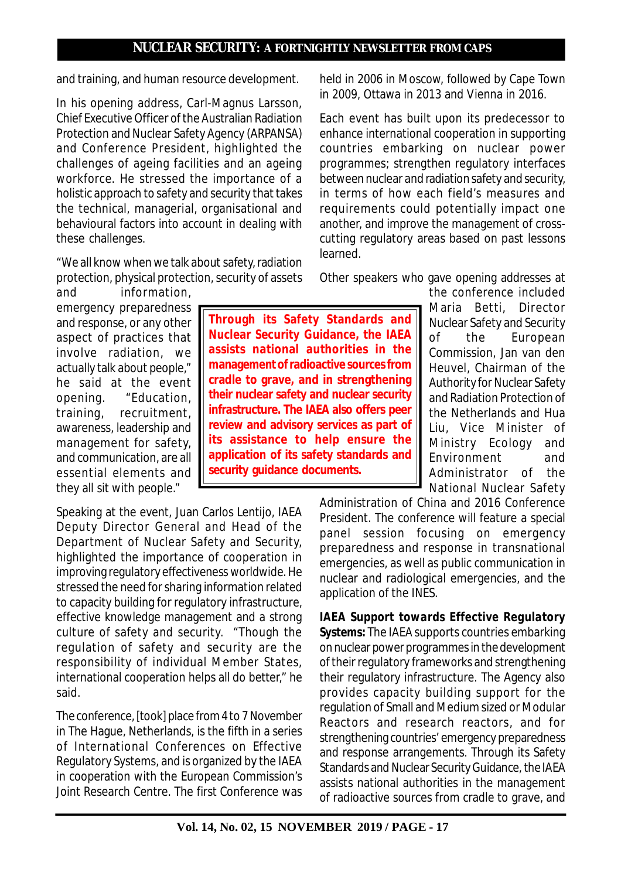and training, and human resource development.

In his opening address, Carl-Magnus Larsson, Chief Executive Officer of the Australian Radiation Protection and Nuclear Safety Agency (ARPANSA) and Conference President, highlighted the challenges of ageing facilities and an ageing workforce. He stressed the importance of a holistic approach to safety and security that takes the technical, managerial, organisational and behavioural factors into account in dealing with these challenges.

"We all know when we talk about safety, radiation protection, physical protection, security of assets

and information, emergency preparedness and response, or any other aspect of practices that involve radiation, we actually talk about people," he said at the event opening. "Education, training, recruitment, awareness, leadership and management for safety, and communication, are all essential elements and they all sit with people."

Speaking at the event, Juan Carlos Lentijo, IAEA Deputy Director General and Head of the Department of Nuclear Safety and Security, highlighted the importance of cooperation in improving regulatory effectiveness worldwide. He stressed the need for sharing information related to capacity building for regulatory infrastructure, effective knowledge management and a strong culture of safety and security. "Though the regulation of safety and security are the responsibility of individual Member States, international cooperation helps all do better," he said.

The conference, [took] place from 4 to 7 November in The Hague, Netherlands, is the fifth in a series of International Conferences on Effective Regulatory Systems, and is organized by the IAEA in cooperation with the European Commission's Joint Research Centre. The first Conference was

**Through its Safety Standards and Nuclear Security Guidance, the IAEA assists national authorities in the management of radioactive sources from cradle to grave, and in strengthening their nuclear safety and nuclear security infrastructure. The IAEA also offers peer review and advisory services as part of its assistance to help ensure the application of its safety standards and security guidance documents.**

held in 2006 in Moscow, followed by Cape Town in 2009, Ottawa in 2013 and Vienna in 2016.

Each event has built upon its predecessor to enhance international cooperation in supporting countries embarking on nuclear power programmes; strengthen regulatory interfaces between nuclear and radiation safety and security, in terms of how each field's measures and requirements could potentially impact one another, and improve the management of crosscutting regulatory areas based on past lessons learned.

Other speakers who gave opening addresses at

the conference included Maria Betti, Director Nuclear Safety and Security of the European Commission, Jan van den Heuvel, Chairman of the Authority for Nuclear Safety and Radiation Protection of the Netherlands and Hua Liu, Vice Minister of Ministry Ecology and Environment and Administrator of the National Nuclear Safety

Administration of China and 2016 Conference President. The conference will feature a special panel session focusing on emergency preparedness and response in transnational emergencies, as well as public communication in nuclear and radiological emergencies, and the application of the INES.

*IAEA Support towards Effective Regulatory Systems:* The IAEA supports countries embarking on nuclear power programmes in the development of their regulatory frameworks and strengthening their regulatory infrastructure. The Agency also provides capacity building support for the regulation of Small and Medium sized or Modular Reactors and research reactors, and for strengthening countries' emergency preparedness and response arrangements. Through its Safety Standards and Nuclear Security Guidance, the IAEA assists national authorities in the management of radioactive sources from cradle to grave, and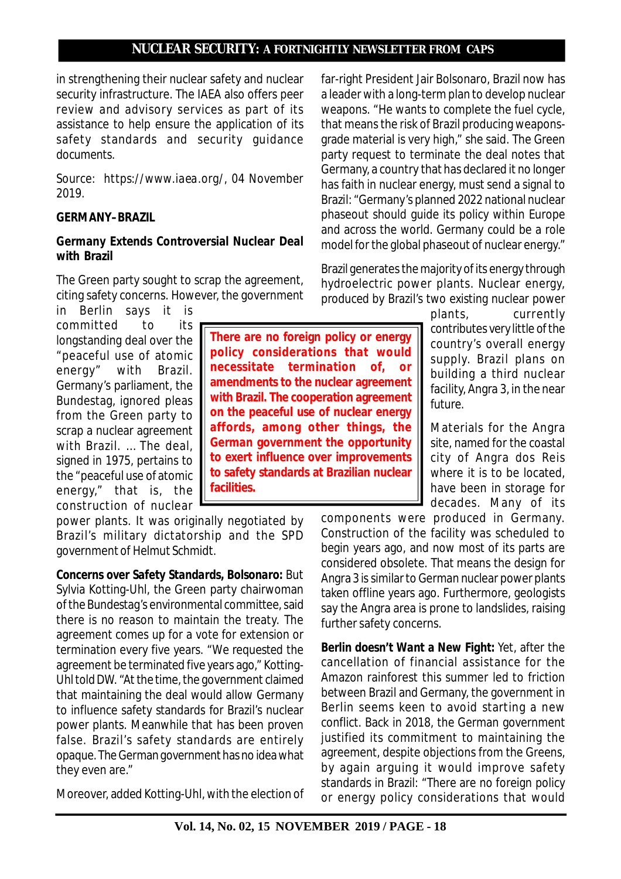in strengthening their nuclear safety and nuclear security infrastructure. The IAEA also offers peer review and advisory services as part of its assistance to help ensure the application of its safety standards and security guidance documents.

*Source: https://www.iaea.org/, 04 November 2019.*

### **GERMANY–BRAZIL**

### **Germany Extends Controversial Nuclear Deal with Brazil**

The Green party sought to scrap the agreement, citing safety concerns. However, the government

in Berlin says it is committed to its longstanding deal over the "peaceful use of atomic energy" with Brazil. Germany's parliament, the Bundestag, ignored pleas from the Green party to scrap a nuclear agreement with Brazil. … The deal, signed in 1975, pertains to the "peaceful use of atomic energy," that is, the construction of nuclear

power plants. It was originally negotiated by Brazil's military dictatorship and the SPD government of Helmut Schmidt.

*Concerns over Safety Standards, Bolsonaro:* But Sylvia Kotting-Uhl, the Green party chairwoman of the Bundestag's environmental committee, said there is no reason to maintain the treaty. The agreement comes up for a vote for extension or termination every five years. "We requested the agreement be terminated five years ago," Kotting-Uhl told DW. "At the time, the government claimed that maintaining the deal would allow Germany to influence safety standards for Brazil's nuclear power plants. Meanwhile that has been proven false. Brazil's safety standards are entirely opaque. The German government has no idea what they even are."

Moreover, added Kotting-Uhl, with the election of

**There are no foreign policy or energy policy considerations that would necessitate termination of, or amendments to the nuclear agreement with Brazil. The cooperation agreement on the peaceful use of nuclear energy affords, among other things, the German government the opportunity to exert influence over improvements to safety standards at Brazilian nuclear facilities.**

far-right President Jair Bolsonaro, Brazil now has a leader with a long-term plan to develop nuclear weapons. "He wants to complete the fuel cycle, that means the risk of Brazil producing weaponsgrade material is very high," she said. The Green party request to terminate the deal notes that Germany, a country that has declared it no longer has faith in nuclear energy, must send a signal to Brazil: "Germany's planned 2022 national nuclear phaseout should guide its policy within Europe and across the world. Germany could be a role model for the global phaseout of nuclear energy."

Brazil generates the majority of its energy through hydroelectric power plants. Nuclear energy, produced by Brazil's two existing nuclear power

> plants, currently contributes very little of the country's overall energy supply. Brazil plans on building a third nuclear facility, Angra 3, in the near future.

Materials for the Angra site, named for the coastal city of Angra dos Reis where it is to be located, have been in storage for decades. Many of its

components were produced in Germany. Construction of the facility was scheduled to begin years ago, and now most of its parts are considered obsolete. That means the design for Angra 3 is similar to German nuclear power plants taken offline years ago. Furthermore, geologists say the Angra area is prone to landslides, raising further safety concerns.

*Berlin doesn't Want a New Fight:* Yet, after the cancellation of financial assistance for the Amazon rainforest this summer led to friction between Brazil and Germany, the government in Berlin seems keen to avoid starting a new conflict. Back in 2018, the German government justified its commitment to maintaining the agreement, despite objections from the Greens, by again arguing it would improve safety standards in Brazil: "There are no foreign policy or energy policy considerations that would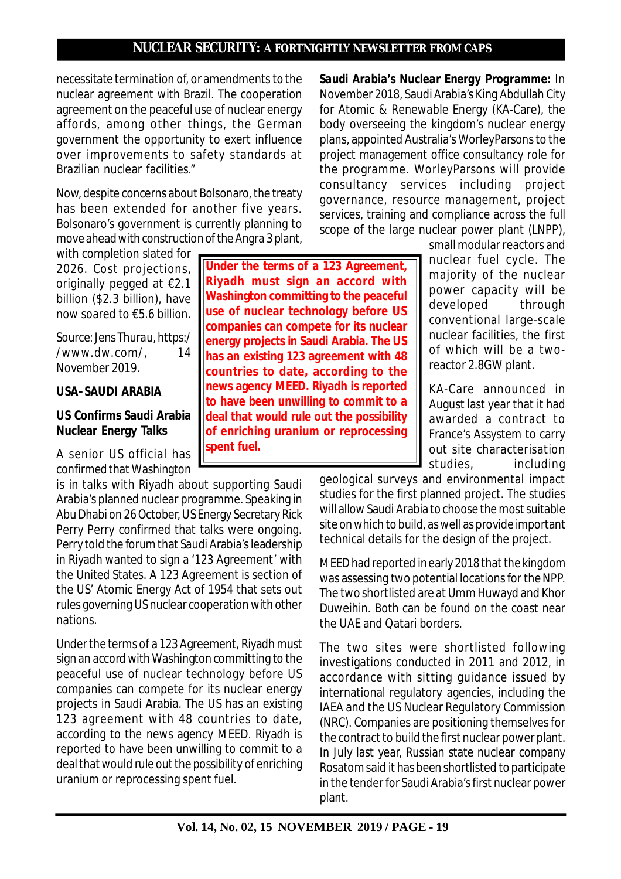necessitate termination of, or amendments to the nuclear agreement with Brazil. The cooperation agreement on the peaceful use of nuclear energy affords, among other things, the German government the opportunity to exert influence over improvements to safety standards at Brazilian nuclear facilities."

Now, despite concerns about Bolsonaro, the treaty has been extended for another five years. Bolsonaro's government is currently planning to move ahead with construction of the Angra 3 plant,

with completion slated for 2026. Cost projections, originally pegged at €2.1 billion (\$2.3 billion), have now soared to €5.6 billion.

*Source: Jens Thurau, https:/ /www.dw.com/, 14 November 2019.*

## **USA–SAUDI ARABIA**

## **US Confirms Saudi Arabia Nuclear Energy Talks**

A senior US official has confirmed that Washington

is in talks with Riyadh about supporting Saudi Arabia's planned nuclear programme. Speaking in Abu Dhabi on 26 October, US Energy Secretary Rick Perry Perry confirmed that talks were ongoing. Perry told the forum that Saudi Arabia's leadership in Riyadh wanted to sign a '123 Agreement' with the United States. A 123 Agreement is section of the US' Atomic Energy Act of 1954 that sets out rules governing US nuclear cooperation with other nations.

Under the terms of a 123 Agreement, Riyadh must sign an accord with Washington committing to the peaceful use of nuclear technology before US companies can compete for its nuclear energy projects in Saudi Arabia. The US has an existing 123 agreement with 48 countries to date, according to the news agency MEED. Riyadh is reported to have been unwilling to commit to a deal that would rule out the possibility of enriching uranium or reprocessing spent fuel.

**Under the terms of a 123 Agreement, Riyadh must sign an accord with Washington committing to the peaceful use of nuclear technology before US companies can compete for its nuclear energy projects in Saudi Arabia. The US has an existing 123 agreement with 48 countries to date, according to the news agency MEED. Riyadh is reported to have been unwilling to commit to a deal that would rule out the possibility of enriching uranium or reprocessing spent fuel.**

*Saudi Arabia's Nuclear Energy Programme:* In November 2018, Saudi Arabia's King Abdullah City for Atomic & Renewable Energy (KA-Care), the body overseeing the kingdom's nuclear energy plans, appointed Australia's WorleyParsons to the project management office consultancy role for the programme. WorleyParsons will provide consultancy services including project governance, resource management, project services, training and compliance across the full scope of the large nuclear power plant (LNPP),

> small modular reactors and nuclear fuel cycle. The majority of the nuclear power capacity will be developed through conventional large-scale nuclear facilities, the first of which will be a tworeactor 2.8GW plant.

> KA-Care announced in August last year that it had awarded a contract to France's Assystem to carry out site characterisation studies, including

geological surveys and environmental impact studies for the first planned project. The studies will allow Saudi Arabia to choose the most suitable site on which to build, as well as provide important technical details for the design of the project.

MEED had reported in early 2018 that the kingdom was assessing two potential locations for the NPP. The two shortlisted are at Umm Huwayd and Khor Duweihin. Both can be found on the coast near the UAE and Qatari borders.

The two sites were shortlisted following investigations conducted in 2011 and 2012, in accordance with sitting guidance issued by international regulatory agencies, including the IAEA and the US Nuclear Regulatory Commission (NRC). Companies are positioning themselves for the contract to build the first nuclear power plant. In July last year, Russian state nuclear company Rosatom said it has been shortlisted to participate in the tender for Saudi Arabia's first nuclear power plant.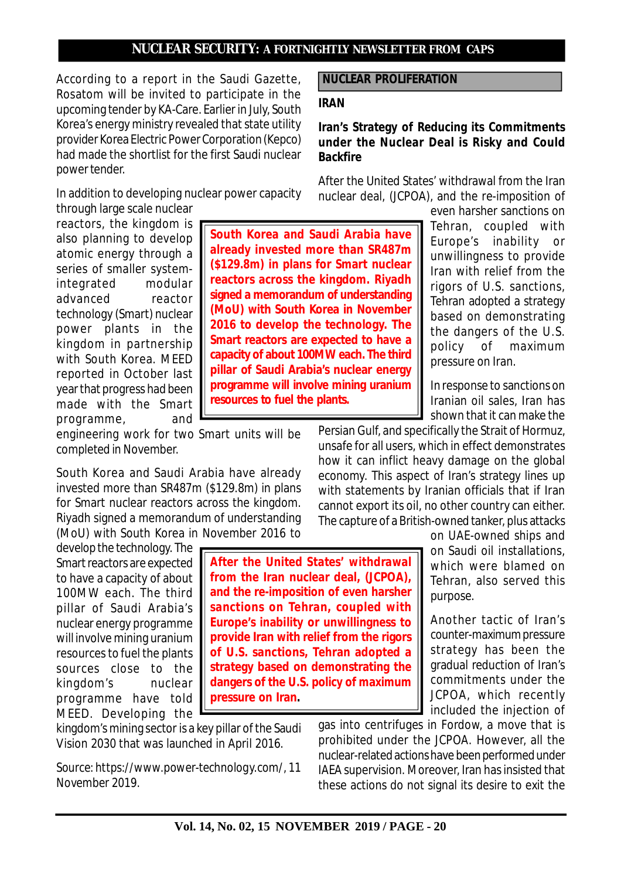According to a report in the Saudi Gazette, Rosatom will be invited to participate in the upcoming tender by KA-Care. Earlier in July, South Korea's energy ministry revealed that state utility provider Korea Electric Power Corporation (Kepco) had made the shortlist for the first Saudi nuclear power tender.

In addition to developing nuclear power capacity through large scale nuclear

reactors, the kingdom is also planning to develop atomic energy through a series of smaller systemintegrated modular advanced reactor technology (Smart) nuclear power plants in the kingdom in partnership with South Korea. MEED reported in October last year that progress had been made with the Smart programme, and

engineering work for two Smart units will be completed in November.

South Korea and Saudi Arabia have already invested more than SR487m (\$129.8m) in plans for Smart nuclear reactors across the kingdom. Riyadh signed a memorandum of understanding (MoU) with South Korea in November 2016 to

develop the technology. The Smart reactors are expected to have a capacity of about 100MW each. The third pillar of Saudi Arabia's nuclear energy programme will involve mining uranium resources to fuel the plants sources close to the kingdom's nuclear programme have told MEED. Developing the

**After the United States' withdrawal from the Iran nuclear deal, (JCPOA), and the re-imposition of even harsher sanctions on Tehran, coupled with Europe's inability or unwillingness to provide Iran with relief from the rigors of U.S. sanctions, Tehran adopted a strategy based on demonstrating the dangers of the U.S. policy of maximum pressure on Iran.**

kingdom's mining sector is a key pillar of the Saudi Vision 2030 that was launched in April 2016.

*Source: https://www.power-technology.com/, 11 November 2019.*

 **NUCLEAR PROLIFERATION**

#### **IRAN**

## **Iran's Strategy of Reducing its Commitments under the Nuclear Deal is Risky and Could Backfire**

After the United States' withdrawal from the Iran nuclear deal, (JCPOA), and the re-imposition of

even harsher sanctions on Tehran, coupled with Europe's inability or unwillingness to provide Iran with relief from the rigors of U.S. sanctions, Tehran adopted a strategy based on demonstrating the dangers of the U.S. policy of maximum pressure on Iran.

In response to sanctions on Iranian oil sales, Iran has shown that it can make the

Persian Gulf, and specifically the Strait of Hormuz, unsafe for all users, which in effect demonstrates how it can inflict heavy damage on the global economy. This aspect of Iran's strategy lines up with statements by Iranian officials that if Iran cannot export its oil, no other country can either. The capture of a British-owned tanker, plus attacks

> on UAE-owned ships and on Saudi oil installations, which were blamed on Tehran, also served this purpose.

> Another tactic of Iran's counter-maximum pressure strategy has been the gradual reduction of Iran's commitments under the JCPOA, which recently included the injection of

gas into centrifuges in Fordow, a move that is prohibited under the JCPOA. However, all the nuclear-related actions have been performed under IAEA supervision. Moreover, Iran has insisted that these actions do not signal its desire to exit the

## **South Korea and Saudi Arabia have already invested more than SR487m (\$129.8m) in plans for Smart nuclear reactors across the kingdom. Riyadh signed a memorandum of understanding (MoU) with South Korea in November 2016 to develop the technology. The Smart reactors are expected to have a capacity of about 100MW each. The third pillar of Saudi Arabia's nuclear energy programme will involve mining uranium resources to fuel the plants.**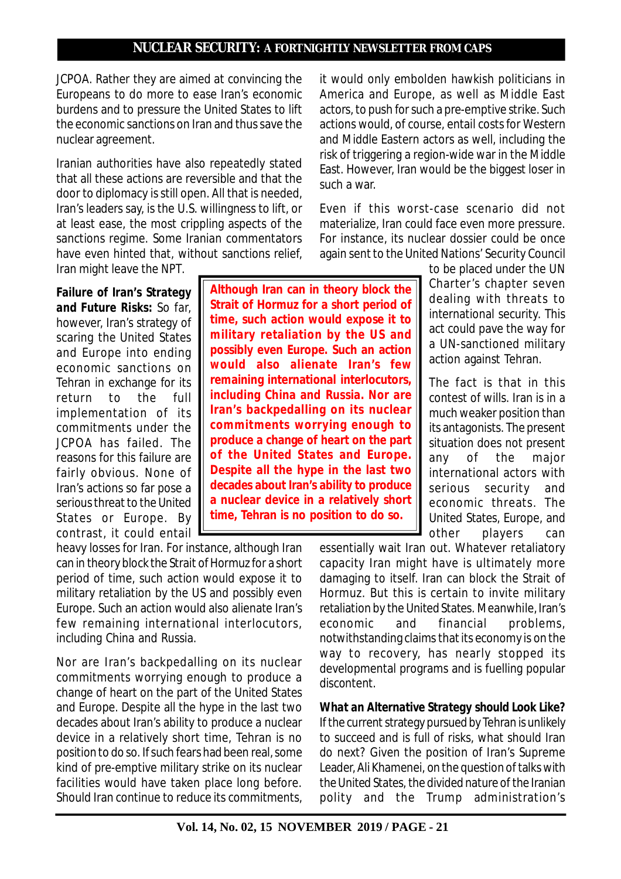JCPOA. Rather they are aimed at convincing the Europeans to do more to ease Iran's economic burdens and to pressure the United States to lift the economic sanctions on Iran and thus save the nuclear agreement.

Iranian authorities have also repeatedly stated that all these actions are reversible and that the door to diplomacy is still open. All that is needed, Iran's leaders say, is the U.S. willingness to lift, or at least ease, the most crippling aspects of the sanctions regime. Some Iranian commentators have even hinted that, without sanctions relief, Iran might leave the NPT.

it would only embolden hawkish politicians in America and Europe, as well as Middle East actors, to push for such a pre-emptive strike. Such actions would, of course, entail costs for Western and Middle Eastern actors as well, including the risk of triggering a region-wide war in the Middle East. However, Iran would be the biggest loser in such a war.

Even if this worst-case scenario did not materialize, Iran could face even more pressure. For instance, its nuclear dossier could be once again sent to the United Nations' Security Council

*Failure of Iran's Strategy and Future Risks:* So far, however, Iran's strategy of scaring the United States and Europe into ending economic sanctions on Tehran in exchange for its return to the full implementation of its commitments under the JCPOA has failed. The reasons for this failure are fairly obvious. None of Iran's actions so far pose a serious threat to the United States or Europe. By contrast, it could entail

**Although Iran can in theory block the Strait of Hormuz for a short period of time, such action would expose it to military retaliation by the US and possibly even Europe. Such an action would also alienate Iran's few remaining international interlocutors, including China and Russia. Nor are Iran's backpedalling on its nuclear commitments worrying enough to produce a change of heart on the part of the United States and Europe. Despite all the hype in the last two decades about Iran's ability to produce a nuclear device in a relatively short time, Tehran is no position to do so.**

to be placed under the UN Charter's chapter seven dealing with threats to international security. This act could pave the way for a UN-sanctioned military action against Tehran.

The fact is that in this contest of wills. Iran is in a much weaker position than its antagonists. The present situation does not present any of the major international actors with serious security and economic threats. The United States, Europe, and other players can

heavy losses for Iran. For instance, although Iran can in theory block the Strait of Hormuz for a short period of time, such action would expose it to military retaliation by the US and possibly even Europe. Such an action would also alienate Iran's few remaining international interlocutors, including China and Russia.

Nor are Iran's backpedalling on its nuclear commitments worrying enough to produce a change of heart on the part of the United States and Europe. Despite all the hype in the last two decades about Iran's ability to produce a nuclear device in a relatively short time, Tehran is no position to do so. If such fears had been real, some kind of pre-emptive military strike on its nuclear facilities would have taken place long before. Should Iran continue to reduce its commitments,

essentially wait Iran out. Whatever retaliatory capacity Iran might have is ultimately more damaging to itself. Iran can block the Strait of Hormuz. But this is certain to invite military retaliation by the United States. Meanwhile, Iran's economic and financial problems, notwithstanding claims that its economy is on the way to recovery, has nearly stopped its developmental programs and is fuelling popular discontent.

*What an Alternative Strategy should Look Like?* If the current strategy pursued by Tehran is unlikely to succeed and is full of risks, what should Iran do next? Given the position of Iran's Supreme Leader, Ali Khamenei, on the question of talks with the United States, the divided nature of the Iranian polity and the Trump administration's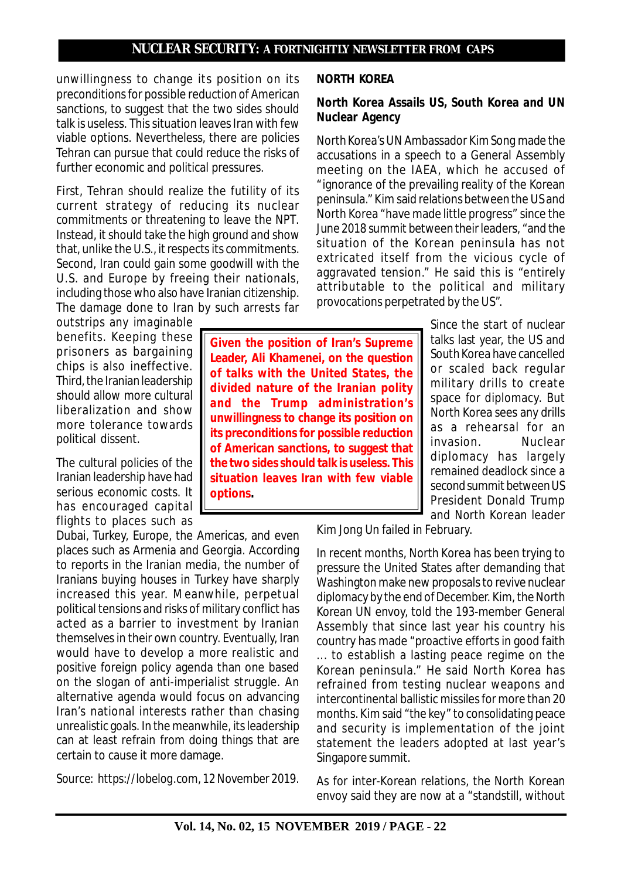unwillingness to change its position on its preconditions for possible reduction of American sanctions, to suggest that the two sides should talk is useless. This situation leaves Iran with few viable options. Nevertheless, there are policies Tehran can pursue that could reduce the risks of further economic and political pressures.

First, Tehran should realize the futility of its current strategy of reducing its nuclear commitments or threatening to leave the NPT. Instead, it should take the high ground and show that, unlike the U.S., it respects its commitments. Second, Iran could gain some goodwill with the U.S. and Europe by freeing their nationals, including those who also have Iranian citizenship. The damage done to Iran by such arrests far

### **NORTH KOREA**

### **North Korea Assails US, South Korea and UN Nuclear Agency**

North Korea's UN Ambassador Kim Song made the accusations in a speech to a General Assembly meeting on the IAEA, which he accused of "ignorance of the prevailing reality of the Korean peninsula." Kim said relations between the US and North Korea "have made little progress" since the June 2018 summit between their leaders, "and the situation of the Korean peninsula has not extricated itself from the vicious cycle of aggravated tension." He said this is "entirely attributable to the political and military provocations perpetrated by the US".

outstrips any imaginable benefits. Keeping these prisoners as bargaining chips is also ineffective. Third, the Iranian leadership should allow more cultural liberalization and show more tolerance towards political dissent.

The cultural policies of the Iranian leadership have had serious economic costs. It has encouraged capital flights to places such as

Dubai, Turkey, Europe, the Americas, and even places such as Armenia and Georgia. According to reports in the Iranian media, the number of Iranians buying houses in Turkey have sharply increased this year. Meanwhile, perpetual political tensions and risks of military conflict has acted as a barrier to investment by Iranian themselves in their own country. Eventually, Iran would have to develop a more realistic and positive foreign policy agenda than one based on the slogan of anti-imperialist struggle. An alternative agenda would focus on advancing Iran's national interests rather than chasing unrealistic goals. In the meanwhile, its leadership can at least refrain from doing things that are certain to cause it more damage.

*Source: https://lobelog.com, 12 November 2019.*

**Given the position of Iran's Supreme Leader, Ali Khamenei, on the question of talks with the United States, the divided nature of the Iranian polity and the Trump administration's unwillingness to change its position on its preconditions for possible reduction of American sanctions, to suggest that the two sides should talk is useless. This situation leaves Iran with few viable options.**

Since the start of nuclear talks last year, the US and South Korea have cancelled or scaled back regular military drills to create space for diplomacy. But North Korea sees any drills as a rehearsal for an invasion. Nuclear diplomacy has largely remained deadlock since a second summit between US President Donald Trump and North Korean leader

Kim Jong Un failed in February.

In recent months, North Korea has been trying to pressure the United States after demanding that Washington make new proposals to revive nuclear diplomacy by the end of December. Kim, the North Korean UN envoy, told the 193-member General Assembly that since last year his country his country has made "proactive efforts in good faith ... to establish a lasting peace regime on the Korean peninsula." He said North Korea has refrained from testing nuclear weapons and intercontinental ballistic missiles for more than 20 months. Kim said "the key" to consolidating peace and security is implementation of the joint statement the leaders adopted at last year's Singapore summit.

As for inter-Korean relations, the North Korean envoy said they are now at a "standstill, without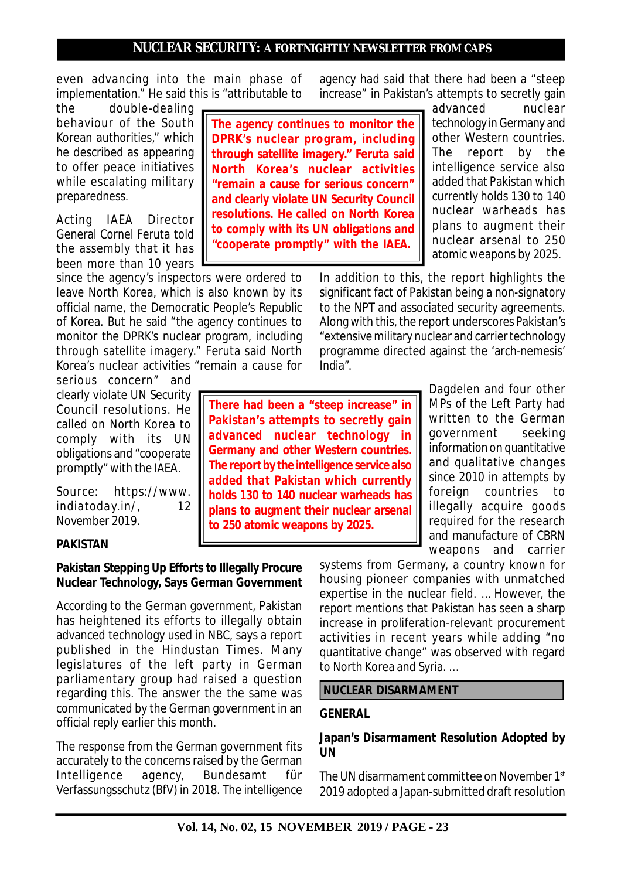even advancing into the main phase of implementation." He said this is "attributable to

the double-dealing behaviour of the South Korean authorities," which he described as appearing to offer peace initiatives while escalating military preparedness.

Acting IAEA Director General Cornel Feruta told the assembly that it has been more than 10 years

since the agency's inspectors were ordered to leave North Korea, which is also known by its official name, the Democratic People's Republic of Korea. But he said "the agency continues to monitor the DPRK's nuclear program, including through satellite imagery." Feruta said North Korea's nuclear activities "remain a cause for

serious concern" and clearly violate UN Security Council resolutions. He called on North Korea to comply with its UN obligations and "cooperate promptly" with the IAEA.

*Source: https://www. indiatoday.in/, 12 November 2019.*

### **PAKISTAN**

### **Pakistan Stepping Up Efforts to Illegally Procure Nuclear Technology, Says German Government**

According to the German government, Pakistan has heightened its efforts to illegally obtain advanced technology used in NBC, says a report published in the Hindustan Times. Many legislatures of the left party in German parliamentary group had raised a question regarding this. The answer the the same was communicated by the German government in an official reply earlier this month.

The response from the German government fits accurately to the concerns raised by the German<br>Intelligence agency. Bundesamt für Intelligence agency, Bundesamt für Verfassungsschutz (BfV) in 2018. The intelligence

**The agency continues to monitor the DPRK's nuclear program, including through satellite imagery." Feruta said North Korea's nuclear activities "remain a cause for serious concern" and clearly violate UN Security Council resolutions. He called on North Korea to comply with its UN obligations and "cooperate promptly" with the IAEA.**

agency had said that there had been a "steep increase" in Pakistan's attempts to secretly gain advanced nuclear technology in Germany and other Western countries.

The report by the intelligence service also added that Pakistan which currently holds 130 to 140 nuclear warheads has plans to augment their nuclear arsenal to 250 atomic weapons by 2025.

In addition to this, the report highlights the significant fact of Pakistan being a non-signatory to the NPT and associated security agreements. Along with this, the report underscores Pakistan's "extensive military nuclear and carrier technology programme directed against the 'arch-nemesis' India".

**There had been a "steep increase" in Pakistan's attempts to secretly gain advanced nuclear technology in Germany and other Western countries. The report by the intelligence service also added that Pakistan which currently holds 130 to 140 nuclear warheads has plans to augment their nuclear arsenal to 250 atomic weapons by 2025.**

Dagdelen and four other MPs of the Left Party had written to the German government seeking information on quantitative and qualitative changes since 2010 in attempts by foreign countries to illegally acquire goods required for the research and manufacture of CBRN weapons and carrier

systems from Germany, a country known for housing pioneer companies with unmatched expertise in the nuclear field. … However, the report mentions that Pakistan has seen a sharp increase in proliferation-relevant procurement activities in recent years while adding "no quantitative change" was observed with regard to North Korea and Syria. …

#### **NUCLEAR DISARMAMENT**

## **GENERAL**

## **Japan's Disarmament Resolution Adopted by UN**

The UN disarmament committee on November 1st 2019 adopted a Japan-submitted draft resolution

**Vol. 14, No. 02, 15 NOVEMBER 2019 / PAGE - 23**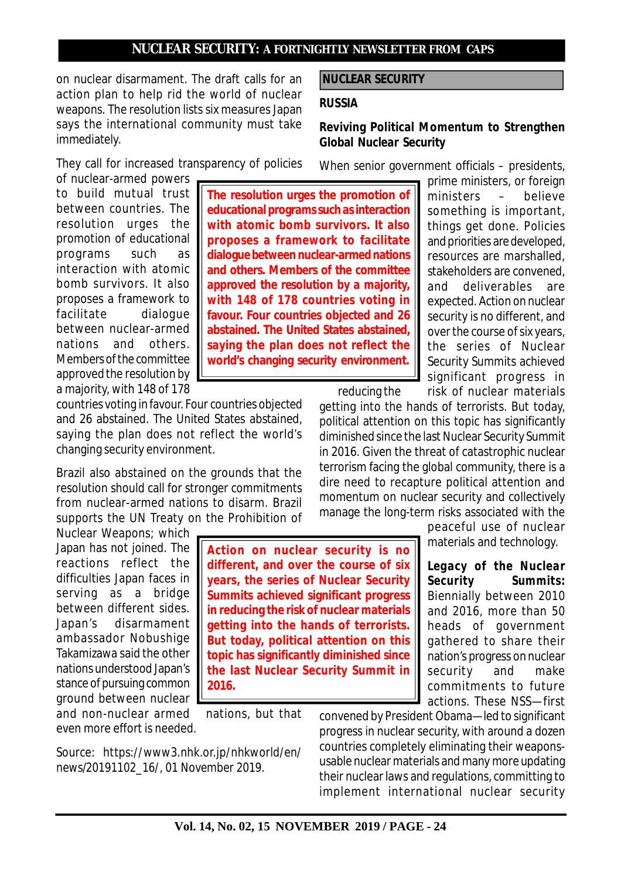**The resolution urges the promotion of educational programs such as interaction with atomic bomb survivors. It also proposes a framework to facilitate dialogue between nuclear-armed nations and others. Members of the committee approved the resolution by a majority, with 148 of 178 countries voting in favour. Four countries objected and 26 abstained. The United States abstained, saying the plan does not reflect the world's changing security environment.**

on nuclear disarmament. The draft calls for an action plan to help rid the world of nuclear weapons. The resolution lists six measures Japan says the international community must take immediately.

They call for increased transparency of policies

of nuclear-armed powers to build mutual trust between countries. The resolution urges the promotion of educational programs such as interaction with atomic bomb survivors. It also proposes a framework to facilitate dialogue between nuclear-armed nations and others. Members of the committee approved the resolution by a majority, with 148 of 178

countries voting in favour. Four countries objected and 26 abstained. The United States abstained, saying the plan does not reflect the world's changing security environment.

Brazil also abstained on the grounds that the resolution should call for stronger commitments from nuclear-armed nations to disarm. Brazil supports the UN Treaty on the Prohibition of

Nuclear Weapons; which Japan has not joined. The reactions reflect the difficulties Japan faces in serving as a bridge between different sides. Japan's disarmament ambassador Nobushige Takamizawa said the other nations understood Japan's stance of pursuing common ground between nuclear and non-nuclear armed nations, but that even more effort is needed.

**2016.**

*Source: https://www3.nhk.or.jp/nhkworld/en/ news/20191102\_16/, 01 November 2019.*

 **NUCLEAR SECURITY**

### **RUSSIA**

## **Reviving Political Momentum to Strengthen Global Nuclear Security**

When senior government officials - presidents,

prime ministers, or foreign ministers – believe something is important, things get done. Policies and priorities are developed, resources are marshalled, stakeholders are convened, and deliverables are expected. Action on nuclear security is no different, and over the course of six years, the series of Nuclear Security Summits achieved significant progress in reducing the risk of nuclear materials

getting into the hands of terrorists. But today, political attention on this topic has significantly diminished since the last Nuclear Security Summit in 2016. Given the threat of catastrophic nuclear terrorism facing the global community, there is a dire need to recapture political attention and momentum on nuclear security and collectively manage the long-term risks associated with the

> peaceful use of nuclear materials and technology.

*Legacy of the Nuclear Security Summits:* Biennially between 2010 and 2016, more than 50 heads of government gathered to share their nation's progress on nuclear security and make commitments to future actions. These NSS—first

convened by President Obama—led to significant progress in nuclear security, with around a dozen countries completely eliminating their weaponsusable nuclear materials and many more updating their nuclear laws and regulations, committing to implement international nuclear security

**Action on nuclear security is no different, and over the course of six years, the series of Nuclear Security Summits achieved significant progress in reducing the risk of nuclear materials getting into the hands of terrorists. But today, political attention on this topic has significantly diminished since the last Nuclear Security Summit in**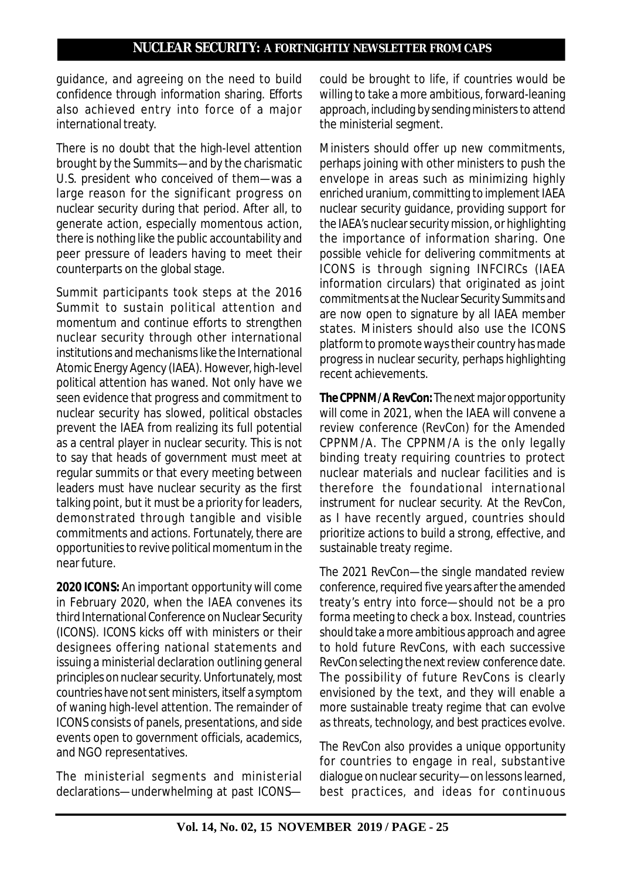guidance, and agreeing on the need to build confidence through information sharing. Efforts also achieved entry into force of a major international treaty.

There is no doubt that the high-level attention brought by the Summits—and by the charismatic U.S. president who conceived of them—was a large reason for the significant progress on nuclear security during that period. After all, to generate action, especially momentous action, there is nothing like the public accountability and peer pressure of leaders having to meet their counterparts on the global stage.

Summit participants took steps at the 2016 Summit to sustain political attention and momentum and continue efforts to strengthen nuclear security through other international institutions and mechanisms like the International Atomic Energy Agency (IAEA). However, high-level political attention has waned. Not only have we seen evidence that progress and commitment to nuclear security has slowed, political obstacles prevent the IAEA from realizing its full potential as a central player in nuclear security. This is not to say that heads of government must meet at regular summits or that every meeting between leaders must have nuclear security as the first talking point, but it must be a priority for leaders, demonstrated through tangible and visible commitments and actions. Fortunately, there are opportunities to revive political momentum in the near future.

*2020 ICONS:* An important opportunity will come in February 2020, when the IAEA convenes its third International Conference on Nuclear Security (ICONS). ICONS kicks off with ministers or their designees offering national statements and issuing a ministerial declaration outlining general principles on nuclear security. Unfortunately, most countries have not sent ministers, itself a symptom of waning high-level attention. The remainder of ICONS consists of panels, presentations, and side events open to government officials, academics, and NGO representatives.

The ministerial segments and ministerial declarations—underwhelming at past ICONS—

could be brought to life, if countries would be willing to take a more ambitious, forward-leaning approach, including by sending ministers to attend the ministerial segment.

Ministers should offer up new commitments, perhaps joining with other ministers to push the envelope in areas such as minimizing highly enriched uranium, committing to implement IAEA nuclear security guidance, providing support for the IAEA's nuclear security mission, or highlighting the importance of information sharing. One possible vehicle for delivering commitments at ICONS is through signing INFCIRCs (IAEA information circulars) that originated as joint commitments at the Nuclear Security Summits and are now open to signature by all IAEA member states. Ministers should also use the ICONS platform to promote ways their country has made progress in nuclear security, perhaps highlighting recent achievements.

*The CPPNM/A RevCon:*The next major opportunity will come in 2021, when the IAEA will convene a review conference (RevCon) for the Amended CPPNM/A. The CPPNM/A is the only legally binding treaty requiring countries to protect nuclear materials and nuclear facilities and is therefore the foundational international instrument for nuclear security. At the RevCon, as I have recently argued, countries should prioritize actions to build a strong, effective, and sustainable treaty regime.

The 2021 RevCon—the single mandated review conference, required five years after the amended treaty's entry into force—should not be a pro forma meeting to check a box. Instead, countries should take a more ambitious approach and agree to hold future RevCons, with each successive RevCon selecting the next review conference date. The possibility of future RevCons is clearly envisioned by the text, and they will enable a more sustainable treaty regime that can evolve as threats, technology, and best practices evolve.

The RevCon also provides a unique opportunity for countries to engage in real, substantive dialogue on nuclear security—on lessons learned, best practices, and ideas for continuous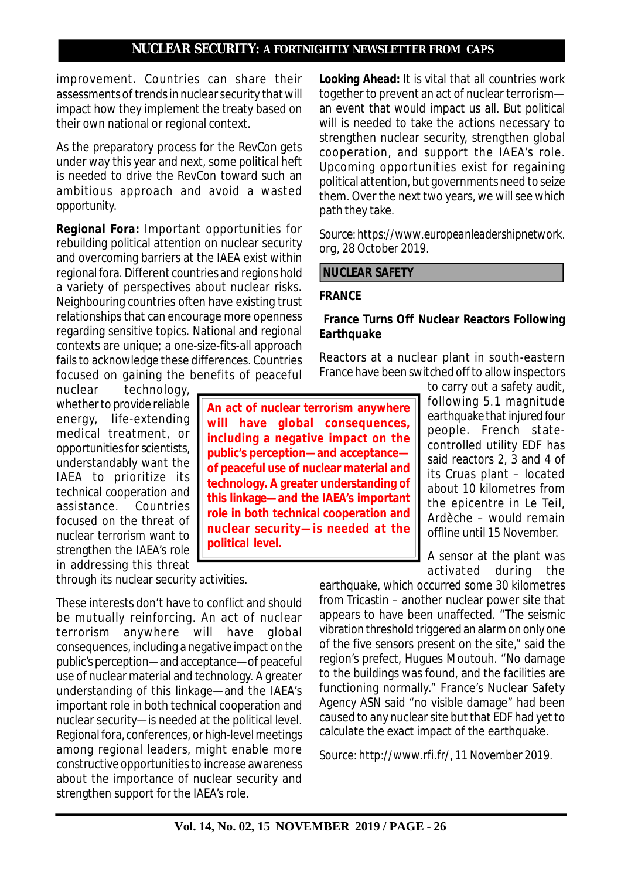improvement. Countries can share their assessments of trends in nuclear security that will impact how they implement the treaty based on their own national or regional context.

As the preparatory process for the RevCon gets under way this year and next, some political heft is needed to drive the RevCon toward such an ambitious approach and avoid a wasted opportunity.

*Regional Fora:* Important opportunities for rebuilding political attention on nuclear security and overcoming barriers at the IAEA exist within regional fora. Different countries and regions hold a variety of perspectives about nuclear risks. Neighbouring countries often have existing trust relationships that can encourage more openness regarding sensitive topics. National and regional contexts are unique; a one-size-fits-all approach fails to acknowledge these differences. Countries focused on gaining the benefits of peaceful

nuclear technology, whether to provide reliable energy, life-extending medical treatment, or opportunities for scientists, understandably want the IAEA to prioritize its technical cooperation and assistance. Countries focused on the threat of nuclear terrorism want to strengthen the IAEA's role in addressing this threat

through its nuclear security activities.

These interests don't have to conflict and should be mutually reinforcing. An act of nuclear terrorism anywhere will have global consequences, including a negative impact on the public's perception—and acceptance—of peaceful use of nuclear material and technology. A greater understanding of this linkage—and the IAEA's important role in both technical cooperation and nuclear security—is needed at the political level. Regional fora, conferences, or high-level meetings among regional leaders, might enable more constructive opportunities to increase awareness about the importance of nuclear security and strengthen support for the IAEA's role.

*Looking Ahead:* It is vital that all countries work together to prevent an act of nuclear terrorism an event that would impact us all. But political will is needed to take the actions necessary to strengthen nuclear security, strengthen global cooperation, and support the IAEA's role. Upcoming opportunities exist for regaining political attention, but governments need to seize them. Over the next two years, we will see which path they take.

*Source: https://www.europeanleadershipnetwork. org, 28 October 2019.*

### **NUCLEAR SAFETY**

#### **FRANCE**

### **France Turns Off Nuclear Reactors Following Earthquake**

Reactors at a nuclear plant in south-eastern France have been switched off to allow inspectors

**An act of nuclear terrorism anywhere will have global consequences, including a negative impact on the public's perception—and acceptance of peaceful use of nuclear material and technology. A greater understanding of this linkage—and the IAEA's important role in both technical cooperation and nuclear security—is needed at the political level.**

to carry out a safety audit, following 5.1 magnitude earthquake that injured four people. French statecontrolled utility EDF has said reactors 2, 3 and 4 of its Cruas plant – located about 10 kilometres from the epicentre in Le Teil, Ardèche – would remain offline until 15 November.

A sensor at the plant was activated during the

earthquake, which occurred some 30 kilometres from Tricastin – another nuclear power site that appears to have been unaffected. "The seismic vibration threshold triggered an alarm on only one of the five sensors present on the site," said the region's prefect, Hugues Moutouh. "No damage to the buildings was found, and the facilities are functioning normally." France's Nuclear Safety Agency ASN said "no visible damage" had been caused to any nuclear site but that EDF had yet to calculate the exact impact of the earthquake.

*Source: http://www.rfi.fr/, 11 November 2019.*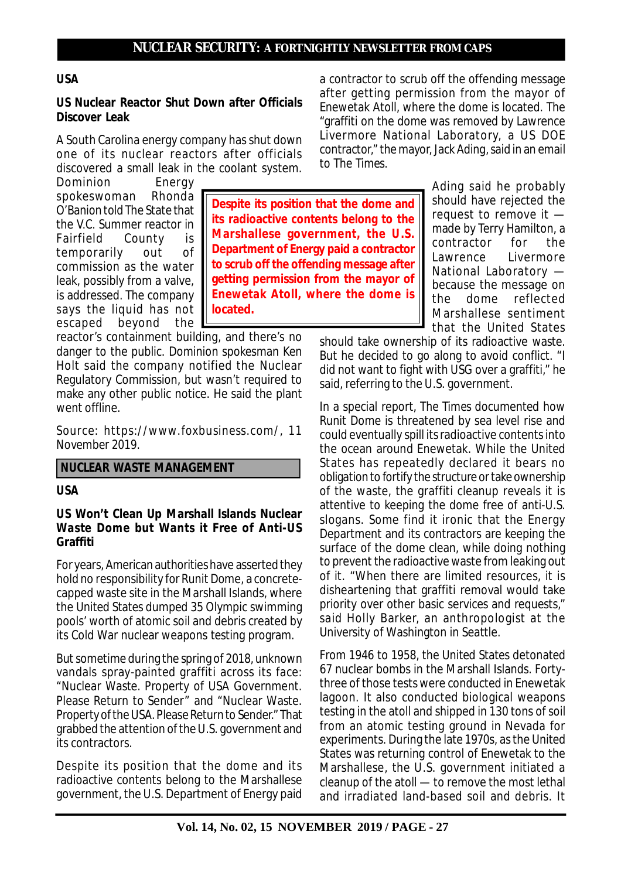## **USA**

### **US Nuclear Reactor Shut Down after Officials Discover Leak**

A South Carolina energy company has shut down one of its nuclear reactors after officials discovered a small leak in the coolant system.

Dominion Energy spokeswoman Rhonda O'Banion told The State that the V.C. Summer reactor in Fairfield County is temporarily out of commission as the water leak, possibly from a valve, is addressed. The company says the liquid has not escaped beyond the

**Despite its position that the dome and its radioactive contents belong to the Marshallese government, the U.S. Department of Energy paid a contractor to scrub off the offending message after getting permission from the mayor of Enewetak Atoll, where the dome is located.**

reactor's containment building, and there's no danger to the public. Dominion spokesman Ken Holt said the company notified the Nuclear Regulatory Commission, but wasn't required to make any other public notice. He said the plant went offline.

## *Source: https://www.foxbusiness.com/, 11 November 2019.*

## **NUCLEAR WASTE MANAGEMENT**

## **USA**

### **US Won't Clean Up Marshall Islands Nuclear Waste Dome but Wants it Free of Anti-US Graffiti**

For years, American authorities have asserted they hold no responsibility for Runit Dome, a concretecapped waste site in the Marshall Islands, where the United States dumped 35 Olympic swimming pools' worth of atomic soil and debris created by its Cold War nuclear weapons testing program.

But sometime during the spring of 2018, unknown vandals spray-painted graffiti across its face: "Nuclear Waste. Property of USA Government. Please Return to Sender" and "Nuclear Waste. Property of the USA. Please Return to Sender." That grabbed the attention of the U.S. government and its contractors.

Despite its position that the dome and its radioactive contents belong to the Marshallese government, the U.S. Department of Energy paid a contractor to scrub off the offending message after getting permission from the mayor of Enewetak Atoll, where the dome is located. The "graffiti on the dome was removed by Lawrence Livermore National Laboratory, a US DOE contractor," the mayor, Jack Ading, said in an email to *The Times*.

> Ading said he probably should have rejected the request to remove it made by Terry Hamilton, a contractor for the Lawrence Livermore National Laboratory because the message on the dome reflected Marshallese sentiment that the United States

should take ownership of its radioactive waste. But he decided to go along to avoid conflict. "I did not want to fight with USG over a graffiti," he said, referring to the U.S. government.

In a special report, *The Times* documented how Runit Dome is threatened by sea level rise and could eventually spill its radioactive contents into the ocean around Enewetak. While the United States has repeatedly declared it bears no obligation to fortify the structure or take ownership of the waste, the graffiti cleanup reveals it is attentive to keeping the dome free of anti-U.S. slogans. Some find it ironic that the Energy Department and its contractors are keeping the surface of the dome clean, while doing nothing to prevent the radioactive waste from leaking out of it. "When there are limited resources, it is disheartening that graffiti removal would take priority over other basic services and requests," said Holly Barker, an anthropologist at the University of Washington in Seattle.

From 1946 to 1958, the United States detonated 67 nuclear bombs in the Marshall Islands. Fortythree of those tests were conducted in Enewetak lagoon. It also conducted biological weapons testing in the atoll and shipped in 130 tons of soil from an atomic testing ground in Nevada for experiments. During the late 1970s, as the United States was returning control of Enewetak to the Marshallese, the U.S. government initiated a cleanup of the atoll — to remove the most lethal and irradiated land-based soil and debris. It